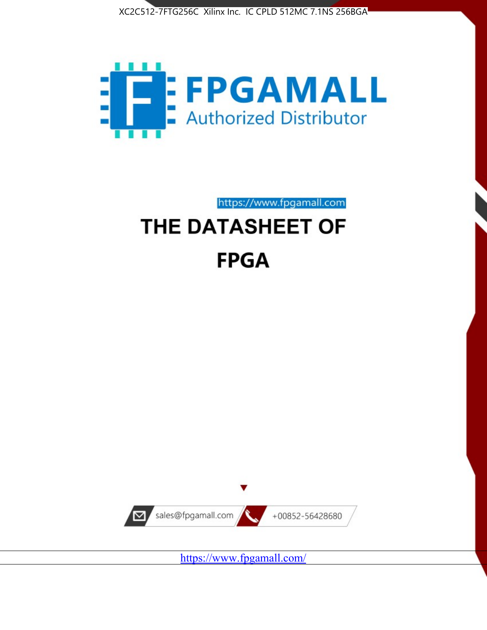



https://www.fpgamall.com THE DATASHEET OF

# **FPGA**



<https://www.fpgamall.com/>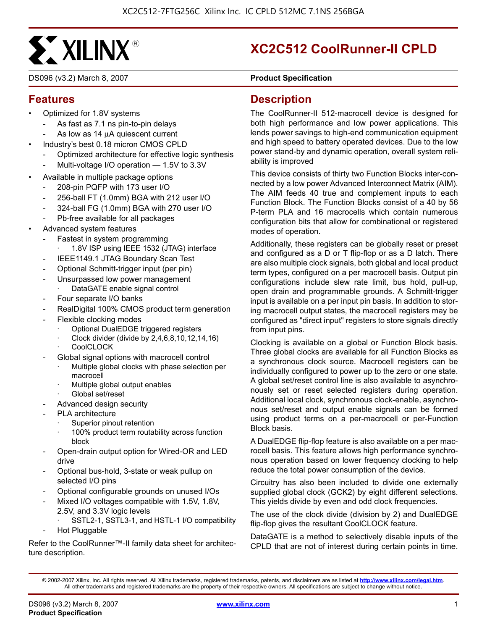

DS096 (v3.2) March 8, 2007 **0 00 00 000 000 Product Specification** 

## **XC2C512 CoolRunner-II CPLD**

#### **Features**

- Optimized for 1.8V systems
	- As fast as 7.1 ns pin-to-pin delays
	- As low as 14 μA quiescent current
- Industry's best 0.18 micron CMOS CPLD
	- Optimized architecture for effective logic synthesis
	- Multi-voltage I/O operation 1.5V to 3.3V
- Available in multiple package options
	- 208-pin PQFP with 173 user I/O
	- 256-ball FT (1.0mm) BGA with 212 user I/O
	- 324-ball FG (1.0mm) BGA with 270 user I/O
	- Pb-free available for all packages
- Advanced system features
	- Fastest in system programming
		- 1.8V ISP using IEEE 1532 (JTAG) interface
		- IEEE1149.1 JTAG Boundary Scan Test
	- Optional Schmitt-trigger input (per pin)
	- Unsurpassed low power management DataGATE enable signal control
	- Four separate I/O banks
	- RealDigital 100% CMOS product term generation
	- Flexible clocking modes
		- · Optional DualEDGE triggered registers
		- · Clock divider (divide by 2,4,6,8,10,12,14,16)
		- **CoolCLOCK**
	- Global signal options with macrocell control
		- Multiple global clocks with phase selection per macrocell
		- Multiple global output enables
		- Global set/reset
	- Advanced design security
	- PLA architecture
		- Superior pinout retention
		- 100% product term routability across function block
	- Open-drain output option for Wired-OR and LED drive
	- Optional bus-hold, 3-state or weak pullup on selected I/O pins
	- Optional configurable grounds on unused I/Os
	- Mixed I/O voltages compatible with 1.5V, 1.8V, 2.5V, and 3.3V logic levels
		- SSTL2-1, SSTL3-1, and HSTL-1 I/O compatibility
	- Hot Pluggable

Refer to the CoolRunner™-II family data sheet for architecture description.

#### **Description**

The CoolRunner-II 512-macrocell device is designed for both high performance and low power applications. This lends power savings to high-end communication equipment and high speed to battery operated devices. Due to the low power stand-by and dynamic operation, overall system reliability is improved

This device consists of thirty two Function Blocks inter-connected by a low power Advanced Interconnect Matrix (AIM). The AIM feeds 40 true and complement inputs to each Function Block. The Function Blocks consist of a 40 by 56 P-term PLA and 16 macrocells which contain numerous configuration bits that allow for combinational or registered modes of operation.

Additionally, these registers can be globally reset or preset and configured as a D or T flip-flop or as a D latch. There are also multiple clock signals, both global and local product term types, configured on a per macrocell basis. Output pin configurations include slew rate limit, bus hold, pull-up, open drain and programmable grounds. A Schmitt-trigger input is available on a per input pin basis. In addition to storing macrocell output states, the macrocell registers may be configured as "direct input" registers to store signals directly from input pins.

Clocking is available on a global or Function Block basis. Three global clocks are available for all Function Blocks as a synchronous clock source. Macrocell registers can be individually configured to power up to the zero or one state. A global set/reset control line is also available to asynchronously set or reset selected registers during operation. Additional local clock, synchronous clock-enable, asynchronous set/reset and output enable signals can be formed using product terms on a per-macrocell or per-Function Block basis.

A DualEDGE flip-flop feature is also available on a per macrocell basis. This feature allows high performance synchronous operation based on lower frequency clocking to help reduce the total power consumption of the device.

Circuitry has also been included to divide one externally supplied global clock (GCK2) by eight different selections. This yields divide by even and odd clock frequencies.

The use of the clock divide (division by 2) and DualEDGE flip-flop gives the resultant CoolCLOCK feature.

DataGATE is a method to selectively disable inputs of the CPLD that are not of interest during certain points in time.

<sup>© 2002-2007</sup> Xilinx, Inc. All rights reserved. All Xilinx trademarks, registered trademarks, patents, and disclaimers are as listed at **<http://www.xilinx.com/legal.htm>**. All other trademarks and registered trademarks are the property of their respective owners. All specifications are subject to change without notice.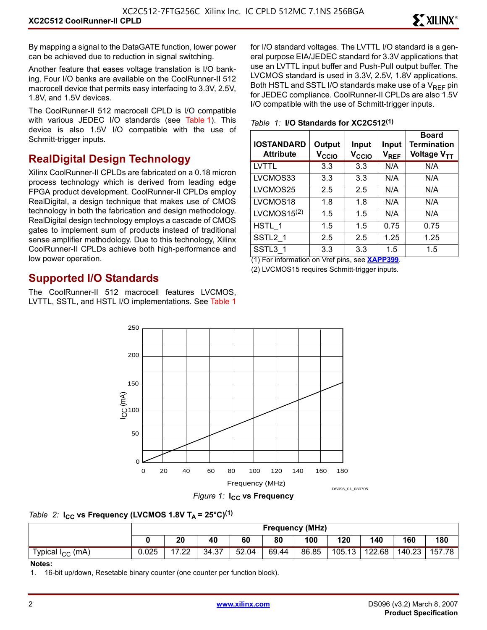By mapping a signal to the DataGATE function, lower power can be achieved due to reduction in signal switching.

Another feature that eases voltage translation is I/O banking. Four I/O banks are available on the CoolRunner-II 512 macrocell device that permits easy interfacing to 3.3V, 2.5V, 1.8V, and 1.5V devices.

The CoolRunner-II 512 macrocell CPLD is I/O compatible with various JEDEC I/O standards (see Table 1). This device is also 1.5V I/O compatible with the use of Schmitt-trigger inputs.

#### **RealDigital Design Technology**

Xilinx CoolRunner-II CPLDs are fabricated on a 0.18 micron process technology which is derived from leading edge FPGA product development. CoolRunner-II CPLDs employ RealDigital, a design technique that makes use of CMOS technology in both the fabrication and design methodology. RealDigital design technology employs a cascade of CMOS gates to implement sum of products instead of traditional sense amplifier methodology. Due to this technology, Xilinx CoolRunner-II CPLDs achieve both high-performance and low power operation.

#### **Supported I/O Standards**

The CoolRunner-II 512 macrocell features LVCMOS, LVTTL, SSTL, and HSTL I/O implementations. See Table 1 for I/O standard voltages. The LVTTL I/O standard is a general purpose EIA/JEDEC standard for 3.3V applications that use an LVTTL input buffer and Push-Pull output buffer. The LVCMOS standard is used in 3.3V, 2.5V, 1.8V applications. Both HSTL and SSTL I/O standards make use of a  $V_{RFF}$  pin for JEDEC compliance. CoolRunner-II CPLDs are also 1.5V I/O compatible with the use of Schmitt-trigger inputs.

|  |  |  |  |  | Table 1: I/O Standards for XC2C512(1) |
|--|--|--|--|--|---------------------------------------|
|--|--|--|--|--|---------------------------------------|

| <b>IOSTANDARD</b><br><b>Attribute</b> | Output<br>$V_{\rm CCIO}$ | Input<br>$V_{\rm CCIO}$ | Input<br>$V_{REF}$ | <b>Board</b><br><b>Termination</b><br>Voltage V <sub>TT</sub> |
|---------------------------------------|--------------------------|-------------------------|--------------------|---------------------------------------------------------------|
| LVTTL                                 | 3.3                      | 3.3                     | N/A                | N/A                                                           |
| LVCMOS33                              | 3.3                      | 3.3                     | N/A                | N/A                                                           |
| LVCMOS25                              | 2.5                      | 2.5                     | N/A                | N/A                                                           |
| LVCMOS18                              | 1.8                      | 1.8                     | N/A                | N/A                                                           |
| LVCMOS15 <sup>(2)</sup>               | 1.5                      | 1.5                     | N/A                | N/A                                                           |
| HSTL 1                                | 1.5                      | 1.5                     | 0.75               | 0.75                                                          |
| SSTL <sub>2</sub> 1                   | 2.5                      | 2.5                     | 1.25               | 1.25                                                          |
| SSTL3 1                               | 3.3                      | 3.3                     | 1.5                | 1.5                                                           |

(1) For information on Vref pins, see **[XAPP399](http://direct.xilinx.com/bvdocs/appnotes/xapp399.pdf)**.

(2) LVCMOS15 requires Schmitt-trigger inputs.



*Table 2:* **I<sub>CC</sub>** vs Frequency (LVCMOS 1.8V T<sub>A</sub> = 25°C)<sup>(1)</sup>

|                              |       | <b>Frequency (MHz)</b> |       |       |       |       |        |        |        |        |
|------------------------------|-------|------------------------|-------|-------|-------|-------|--------|--------|--------|--------|
|                              |       | 20                     | 40    | 60    | 80    | 100   | 120    | 140    | 160    | 180    |
| Typical I <sub>CC</sub> (mA) | 0.025 | 7.22                   | 34.37 | 52.04 | 69.44 | 86.85 | 105.13 | 122.68 | 140.23 | 157.78 |

#### **Notes:**

1. 16-bit up/down, Resetable binary counter (one counter per function block).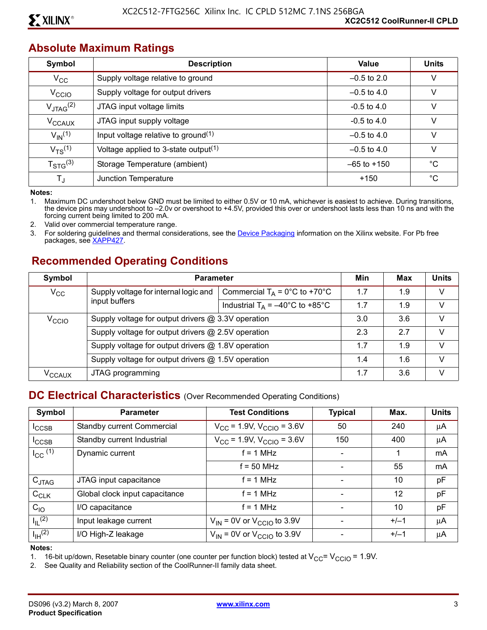#### **Absolute Maximum Ratings**

| Symbol                 | <b>Description</b>                               | Value           | <b>Units</b> |
|------------------------|--------------------------------------------------|-----------------|--------------|
| $\rm v_{cc}$           | Supply voltage relative to ground                | $-0.5$ to 2.0   | V            |
| V <sub>CCIO</sub>      | Supply voltage for output drivers                | $-0.5$ to 4.0   | V            |
| $V_{JTAG}^{(2)}$       | JTAG input voltage limits                        | $-0.5$ to 4.0   | V            |
| V <sub>CCAUX</sub>     | JTAG input supply voltage                        | $-0.5$ to 4.0   | v            |
| $V_{\text{IN}}^{(1)}$  | Input voltage relative to ground <sup>(1)</sup>  | $-0.5$ to 4.0   | V            |
| $V_{TS}^{(1)}$         | Voltage applied to 3-state output <sup>(1)</sup> | $-0.5$ to 4.0   | v            |
| $T_{\text{STG}}^{(3)}$ | Storage Temperature (ambient)                    | $-65$ to $+150$ | $^{\circ}C$  |
| T,                     | Junction Temperature                             | $+150$          | $^{\circ}C$  |

**Notes:** 

1. Maximum DC undershoot below GND must be limited to either 0.5V or 10 mA, whichever is easiest to achieve. During transitions, the device pins may undershoot to –2.0v or overshoot to +4.5V, provided this over or undershoot lasts less than 10 ns and with the forcing current being limited to 200 mA.

2. Valid over commercial temperature range.

3. For soldering guidelines and thermal considerations, see the [Device Packaging](http://www.xilinx.com/xlnx/xweb/xil_publications_index.jsp?category=Package+Drawings) information on the Xilinx website. For Pb free packages, see [XAPP427](http://direct.xilinx.com/bvdocs/appnotes/xapp427.pdf).

#### **Recommended Operating Conditions**

| Symbol              | <b>Parameter</b>                                   |                                                                                                          | Min | <b>Max</b> | <b>Units</b> |
|---------------------|----------------------------------------------------|----------------------------------------------------------------------------------------------------------|-----|------------|--------------|
| $V_{\rm CC}$        | Supply voltage for internal logic and              | Commercial $T_A = 0^\circ C$ to +70 $^\circ C$                                                           | 1.7 | 1.9        | V            |
|                     | input buffers                                      | Industrial $T_A = -40^{\circ}$ C to +85°C                                                                | 1.7 | 1.9        | V            |
| $V_{\rm CCIO}$      |                                                    | Supply voltage for output drivers @ 3.3V operation                                                       |     |            |              |
|                     |                                                    | Supply voltage for output drivers @ 2.5V operation<br>Supply voltage for output drivers @ 1.8V operation |     | 2.7        | V            |
|                     |                                                    |                                                                                                          |     | 1.9        | V            |
|                     | Supply voltage for output drivers @ 1.5V operation |                                                                                                          |     | 1.6        | $\vee$       |
| $\rm v_{\rm CCAUX}$ | JTAG programming                                   |                                                                                                          | 1.7 | 3.6        | $\vee$       |

#### **DC Electrical Characteristics** (Over Recommended Operating Conditions)

| Symbol                | <b>Parameter</b>               | <b>Test Conditions</b>                           | <b>Typical</b>           | Max.   | <b>Units</b>   |
|-----------------------|--------------------------------|--------------------------------------------------|--------------------------|--------|----------------|
| $I_{\text{CCSB}}$     | Standby current Commercial     | $V_{\text{CC}}$ = 1.9V, $V_{\text{CCIO}}$ = 3.6V | 50                       | 240    | μA             |
| <sup>I</sup> CCSB     | Standby current Industrial     | $V_{CC}$ = 1.9V, $V_{CCIO}$ = 3.6V               | 150                      | 400    | μA             |
| $I_{\text{CC}}$ $(1)$ | Dynamic current                | $f = 1$ MHz                                      | $\overline{\phantom{0}}$ | 1      | m <sub>A</sub> |
|                       |                                | $f = 50$ MHz                                     |                          | 55     | mA             |
| $C_{JTAG}$            | JTAG input capacitance         | $f = 1$ MHz                                      |                          | 10     | pF             |
| $C_{CLK}$             | Global clock input capacitance | $= 1 MHz$                                        |                          | 12     | pF             |
| $C_{10}$              | I/O capacitance                | $= 1 MHz$                                        |                          | 10     | pF             |
| $I_{\parallel}$ (2)   | Input leakage current          | $V_{IN}$ = 0V or $V_{CGIO}$ to 3.9V              |                          | $+/-1$ | μA             |
| $I_{\text{IH}}^{(2)}$ | I/O High-Z leakage             | $V_{IN}$ = 0V or $V_{CCIO}$ to 3.9V              |                          | $+/-1$ | μA             |

**Notes:** 

1. 16-bit up/down, Resetable binary counter (one counter per function block) tested at  $V_{CC} = V_{CCIO} = 1.9V$ .<br>2. See Quality and Reliability section of the CoolRunner-II family data sheet.

See Quality and Reliability section of the CoolRunner-II family data sheet.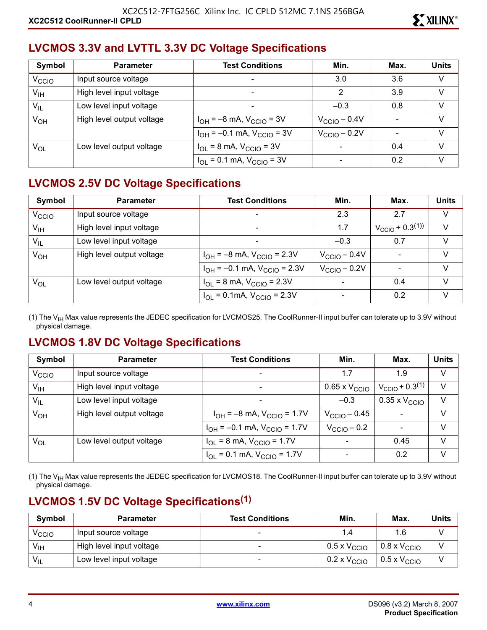## **LVCMOS 3.3V and LVTTL 3.3V DC Voltage Specifications**

| Symbol            | <b>Parameter</b>          | <b>Test Conditions</b>                                  | Min.                     | Max. | <b>Units</b> |
|-------------------|---------------------------|---------------------------------------------------------|--------------------------|------|--------------|
| V <sub>CCIO</sub> | Input source voltage      | $\overline{\phantom{0}}$                                | 3.0                      | 3.6  | V            |
| $V_{\text{IH}}$   | High level input voltage  |                                                         | 2                        | 3.9  | V            |
| $V_{IL}$          | Low level input voltage   | $\overline{\phantom{0}}$                                | $-0.3$                   | 0.8  | V            |
| $V_{OH}$          | High level output voltage | $I_{OH} = -8$ mA, $V_{CCIO} = 3V$                       | $V_{\text{CCIO}} - 0.4V$ |      | V            |
|                   |                           | $I_{OH} = -0.1$ mA, $V_{CClO} = 3V$                     | $V_{\text{CCIO}} - 0.2V$ |      | $\vee$       |
| $V_{OL}$          | Low level output voltage  | $I_{\text{OI}} = 8 \text{ mA}$ , $V_{\text{CCIO}} = 3V$ |                          | 0.4  | $\vee$       |
|                   |                           | $I_{OL}$ = 0.1 mA, $V_{CCIO}$ = 3V                      |                          | 0.2  | V            |

## **LVCMOS 2.5V DC Voltage Specifications**

| Symbol            | <b>Parameter</b>          | <b>Test Conditions</b>                                             | Min.                     | Max.                                    | <b>Units</b> |
|-------------------|---------------------------|--------------------------------------------------------------------|--------------------------|-----------------------------------------|--------------|
| V <sub>CCIO</sub> | Input source voltage      | ۰                                                                  | 2.3                      | 2.7                                     | V            |
| $V_{\text{IH}}$   | High level input voltage  | $\overline{\phantom{0}}$                                           | 1.7                      | $V_{\text{CCIO}}$ + 0.3 <sup>(1))</sup> | V            |
| $V_{IL}$          | Low level input voltage   | -                                                                  | $-0.3$                   | 0.7                                     | V            |
| $V_{OH}$          | High level output voltage | $I_{OH} = -8$ mA, $V_{CGIO} = 2.3V$                                | $V_{\text{CCIO}} - 0.4V$ |                                         | $\vee$       |
|                   |                           | $I_{OH} = -0.1$ mA, $V_{CClO} = 2.3V$                              | $V_{\text{CCIO}} - 0.2V$ |                                         | V            |
| $V_{OL}$          | Low level output voltage  | $I_{OL}$ = 8 mA, $V_{CCIO}$ = 2.3V                                 |                          | 0.4                                     | $\vee$       |
|                   |                           | $I_{\text{OI}} = 0.1 \text{mA}$ , $V_{\text{CCIO}} = 2.3 \text{V}$ |                          | 0.2                                     | $\vee$       |

(1) The  $V_{\text{IH}}$  Max value represents the JEDEC specification for LVCMOS25. The CoolRunner-II input buffer can tolerate up to 3.9V without physical damage.

#### **LVCMOS 1.8V DC Voltage Specifications**

| Symbol            | <b>Parameter</b>          | <b>Test Conditions</b>                | Min.                          | Max.                          | <b>Units</b> |
|-------------------|---------------------------|---------------------------------------|-------------------------------|-------------------------------|--------------|
| V <sub>CCIO</sub> | Input source voltage      | $\overline{\phantom{a}}$              | 1.7                           | 1.9                           | $\vee$       |
| $V_{\text{IH}}$   | High level input voltage  | $\overline{\phantom{a}}$              | $0.65 \times V_{\text{CCIO}}$ | $V_{\text{CCIO}} + 0.3^{(1)}$ | V            |
| $V_{IL}$          | Low level input voltage   | $\overline{\phantom{a}}$              | $-0.3$                        | $0.35 \times V_{\text{CCIO}}$ | $\vee$       |
| $V_{OH}$          | High level output voltage | $I_{OH} = -8$ mA, $V_{CClO} = 1.7V$   | $V_{\text{CCIO}} - 0.45$      |                               | V            |
|                   |                           | $I_{OH} = -0.1$ mA, $V_{CCIO} = 1.7V$ | $V_{\text{CCIO}} - 0.2$       |                               | $\vee$       |
| $V_{OL}$          | Low level output voltage  | $I_{OL}$ = 8 mA, $V_{CCIO}$ = 1.7V    |                               | 0.45                          | $\vee$       |
|                   |                           | $I_{OL}$ = 0.1 mA, $V_{CCIO}$ = 1.7V  |                               | 0.2                           | V            |

(1) The V<sub>IH</sub> Max value represents the JEDEC specification for LVCMOS18. The CoolRunner-II input buffer can tolerate up to 3.9V without physical damage.

#### **LVCMOS 1.5V DC Voltage Specifications(1)**

| Symbol          | <b>Parameter</b>         | <b>Test Conditions</b> | Min.                         | Max.                         | Units |
|-----------------|--------------------------|------------------------|------------------------------|------------------------------|-------|
| <b>V</b> CCIO   | Input source voltage     |                        | 1.4                          |                              |       |
| $V_{\text{IH}}$ | High level input voltage |                        | $0.5 \times V_{\text{CCIO}}$ | $0.8 \times V_{\text{CCIO}}$ |       |
| $V_{IL}$        | Low level input voltage  |                        | $0.2 \times V_{\text{CCIO}}$ | $0.5 \times V_{\text{CCIO}}$ |       |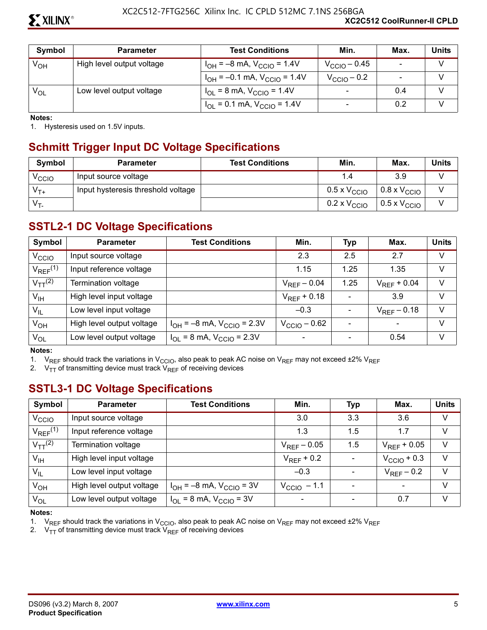| Symbol          | <b>Parameter</b>          | <b>Test Conditions</b>                | Min.                         | Max.   | Units |
|-----------------|---------------------------|---------------------------------------|------------------------------|--------|-------|
| Ѵ <sub>он</sub> | High level output voltage | $I_{OH} = -8$ mA, $V_{CCIO} = 1.4V$   | $V_{\rm CClO}$ – 0.45        | $\sim$ |       |
|                 |                           | $I_{OH} = -0.1$ mA, $V_{CClO} = 1.4V$ | $V_{\text{CCIO}} - 0.2$      |        |       |
| $V_{OL}$        | Low level output voltage  | $I_{OL}$ = 8 mA, $V_{CCIO}$ = 1.4V    | $\qquad \qquad \blacksquare$ | 0.4    |       |
|                 |                           | $I_{OL}$ = 0.1 mA, $V_{CCIO}$ = 1.4V  | $\overline{\phantom{0}}$     | 0.2    |       |

**Notes:** 

1. Hysteresis used on 1.5V inputs.

#### **Schmitt Trigger Input DC Voltage Specifications**

| Symbol            | <b>Parameter</b>                   | <b>Test Conditions</b> | Min.                         | Max.                            | <b>Units</b> |
|-------------------|------------------------------------|------------------------|------------------------------|---------------------------------|--------------|
| <sup>V</sup> CCIO | Input source voltage               |                        | 1.4                          | 3.9                             |              |
| $V_{T+}$          | Input hysteresis threshold voltage |                        | $0.5 \times V_{\text{CCIO}}$ | $\vert$ 0.8 x V <sub>CCIO</sub> |              |
| $V_{T}$           |                                    |                        | $0.2 \times V_{\text{CCIO}}$ | $0.5 \times V_{\text{CCIO}}$    |              |

#### **SSTL2-1 DC Voltage Specifications**

| Symbol                   | <b>Parameter</b>          | <b>Test Conditions</b>                           | Min.             | <b>Typ</b> | Max.             | <b>Units</b> |
|--------------------------|---------------------------|--------------------------------------------------|------------------|------------|------------------|--------------|
| V <sub>CCIO</sub>        | Input source voltage      |                                                  | 2.3              | 2.5        | 2.7              | $\vee$       |
| $V_{REF}$ <sup>(1)</sup> | Input reference voltage   |                                                  | 1.15             | 1.25       | 1.35             | $\vee$       |
| $V_{TT}$ <sup>(2)</sup>  | Termination voltage       |                                                  | $V_{RFF} - 0.04$ | 1.25       | $V_{RFF}$ + 0.04 | $\vee$       |
| $V_{\text{IH}}$          | High level input voltage  |                                                  | $V_{RFF}$ + 0.18 |            | 3.9              | $\vee$       |
| $V_{IL}$                 | Low level input voltage   |                                                  | $-0.3$           |            | $V_{RFF}$ – 0.18 | $\vee$       |
| V <sub>OH</sub>          | High level output voltage | $I_{OH} = -8$ mA, $V_{CCIO} = 2.3V$              | $VCClO - 0.62$   |            |                  | $\vee$       |
| $V_{OL}$                 | Low level output voltage  | $I_{\text{OI}}$ = 8 mA, $V_{\text{CCIO}}$ = 2.3V |                  |            | 0.54             | V            |

#### **Notes:**

1. V<sub>REF</sub> should track the variations in V<sub>CCIO</sub>, also peak to peak AC noise on V<sub>REF</sub> may not exceed  $\pm 2\%$  V<sub>REF</sub>

2.  $V_{TT}$  of transmitting device must track  $V_{REF}$  of receiving devices

#### **SSTL3-1 DC Voltage Specifications**

| Symbol                   | <b>Parameter</b>          | <b>Test Conditions</b>            | Min.                    | <b>Typ</b> | Max.                     | <b>Units</b> |
|--------------------------|---------------------------|-----------------------------------|-------------------------|------------|--------------------------|--------------|
| V <sub>CCIO</sub>        | Input source voltage      |                                   | 3.0                     | 3.3        | 3.6                      | $\vee$       |
| $V_{REF}$ <sup>(1)</sup> | Input reference voltage   |                                   | 1.3                     | 1.5        | 1.7                      | $\vee$       |
| $V_{TT}$ <sup>(2)</sup>  | Termination voltage       |                                   | $V_{REF}$ – 0.05        | 1.5        | $V_{RFF}$ + 0.05         | $\vee$       |
| $V_{\text{IH}}$          | High level input voltage  |                                   | $V_{RFF}$ + 0.2         |            | $V_{\text{CCIO}} + 0.3$  | $\vee$       |
| $V_{IL}$                 | Low level input voltage   |                                   | $-0.3$                  |            | $V_{REF}$ – 0.2          | $\vee$       |
| $V_{OH}$                 | High level output voltage | $I_{OH} = -8$ mA, $V_{CCIO} = 3V$ | $V_{\text{CCIO}}$ – 1.1 |            | $\overline{\phantom{a}}$ | $\vee$       |
| $V_{OL}$                 | Low level output voltage  | $I_{OL}$ = 8 mA, $V_{CCIO}$ = 3V  |                         |            | 0.7                      | $\vee$       |

#### **Notes:**

1. V<sub>REF</sub> should track the variations in V<sub>CCIO</sub>, also peak to peak AC noise on V<sub>REF</sub> may not exceed  $\pm 2\%$  V<sub>REF</sub>

2.  $V_{TT}$  of transmitting device must track  $V_{REF}$  of receiving devices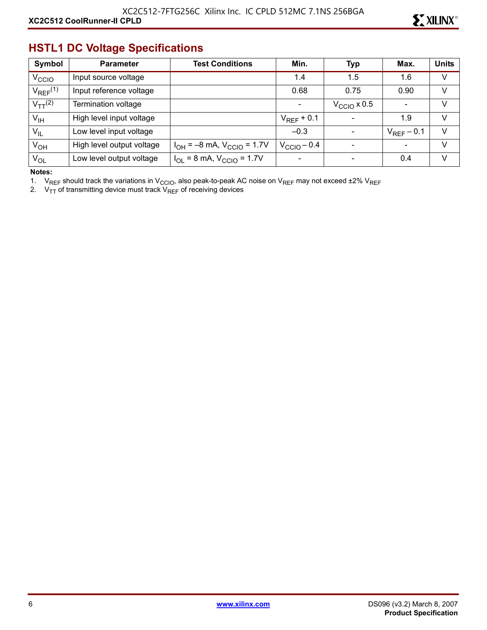#### **HSTL1 DC Voltage Specifications**

| Symbol                   | <b>Parameter</b>          | Test Conditions                                  | Min.                    | <b>Typ</b>               | Max.            | <b>Units</b> |
|--------------------------|---------------------------|--------------------------------------------------|-------------------------|--------------------------|-----------------|--------------|
| V <sub>CCIO</sub>        | Input source voltage      |                                                  | 1.4                     | 1.5                      | 1.6             | V            |
| $V_{REF}$ <sup>(1)</sup> | Input reference voltage   |                                                  | 0.68                    | 0.75                     | 0.90            | V            |
| $V_{TT}$ <sup>(2)</sup>  | Termination voltage       |                                                  |                         | $V_{\rm CCO}$ x 0.5      |                 | V            |
| $V_{\text{IH}}$          | High level input voltage  |                                                  | $V_{RFF}$ + 0.1         |                          | 1.9             | v            |
| $V_{IL}$                 | Low level input voltage   |                                                  | $-0.3$                  | $\overline{\phantom{0}}$ | $V_{REF}$ – 0.1 | V            |
| $V_{OH}$                 | High level output voltage | $I_{OH} = -8$ mA, $V_{CCIO} = 1.7V$              | $V_{\text{CCIO}} - 0.4$ |                          | $\sim$          | V            |
| $V_{OL}$                 | Low level output voltage  | $I_{\text{OI}}$ = 8 mA, $V_{\text{CCIO}}$ = 1.7V |                         |                          | 0.4             | V            |

**Notes:** 

1. V<sub>REF</sub> should track the variations in V<sub>CCIO</sub>, also peak-to-peak AC noise on V<sub>REF</sub> may not exceed ±2% V<sub>REF</sub>

2.  $\rm\,V_{TT}$  of transmitting device must track  $\rm\,V_{REF}$  of receiving devices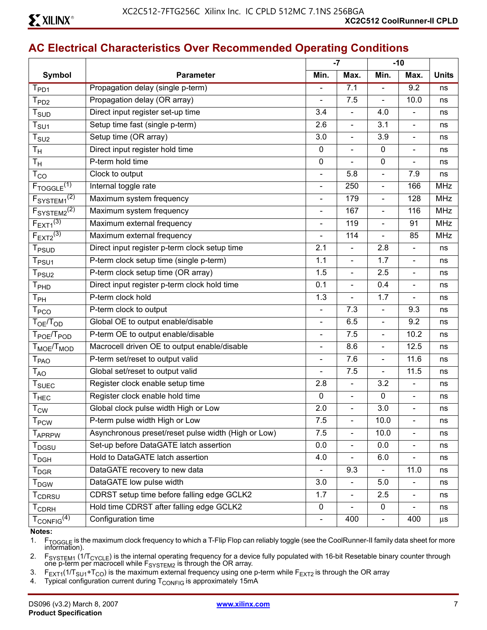|                                     |                                                     |                   | $-7$                     | $-10$                        |                          |              |
|-------------------------------------|-----------------------------------------------------|-------------------|--------------------------|------------------------------|--------------------------|--------------|
| <b>Symbol</b>                       | <b>Parameter</b>                                    | Min.              | Max.                     | Min.                         | Max.                     | <b>Units</b> |
| $T_{PD1}$                           | Propagation delay (single p-term)                   |                   | 7.1                      | $\overline{a}$               | 9.2                      | ns           |
| T <sub>PD2</sub>                    | Propagation delay (OR array)                        | $\blacksquare$    | 7.5                      | $\overline{\phantom{0}}$     | 10.0                     | ns           |
| T <sub>SUD</sub>                    | Direct input register set-up time                   | 3.4               | $\bar{\phantom{a}}$      | 4.0                          |                          | ns           |
| $\mathsf{T}_{\mathsf{SU1}}$         | Setup time fast (single p-term)                     | 2.6               | $\overline{\phantom{a}}$ | 3.1                          | $\blacksquare$           | ns           |
| $T_{\scriptstyle\text{SU2}}$        | Setup time (OR array)                               | 3.0               | $\overline{\phantom{a}}$ | 3.9                          | $\overline{\phantom{a}}$ | ns           |
| $T_{\mathsf{H}}$                    | Direct input register hold time                     | $\mathbf 0$       | $\blacksquare$           | 0                            | $\blacksquare$           | ns           |
| $T_{\mathsf{H}}$                    | P-term hold time                                    | $\mathbf 0$       | $\overline{\phantom{a}}$ | 0                            | $\blacksquare$           | ns           |
| $T_{CO}$                            | Clock to output                                     | $\blacksquare$    | 5.8                      | $\overline{a}$               | 7.9                      | ns           |
| $F_{TOGGLE}$ <sup>(1)</sup>         | Internal toggle rate                                | $\blacksquare$    | 250                      | $\overline{a}$               | 166                      | <b>MHz</b>   |
| F <sub>SYSTEM1</sub> <sup>(2)</sup> | Maximum system frequency                            |                   | 179                      | $\overline{\phantom{0}}$     | 128                      | <b>MHz</b>   |
| $F_{\text{SYSTEM2}}^{(2)}$          | Maximum system frequency                            | $\qquad \qquad -$ | 167                      | $\overline{a}$               | 116                      | <b>MHz</b>   |
| $F_{EXT}$ <sup>(3)</sup>            | Maximum external frequency                          |                   | 119                      | $\overline{a}$               | 91                       | <b>MHz</b>   |
| $F_{EXT2}^{(3)}$                    | Maximum external frequency                          | $\blacksquare$    | 114                      | $\overline{a}$               | 85                       | <b>MHz</b>   |
| T <sub>PSUD</sub>                   | Direct input register p-term clock setup time       | 2.1               | $\overline{\phantom{a}}$ | 2.8                          | $\blacksquare$           | ns           |
| T <sub>PSU1</sub>                   | P-term clock setup time (single p-term)             | 1.1               | $\blacksquare$           | 1.7                          |                          | ns           |
| $T_{PSU2}$                          | P-term clock setup time (OR array)                  | 1.5               | $\overline{\phantom{a}}$ | 2.5                          | $\overline{\phantom{a}}$ | ns           |
| T <sub>PHD</sub>                    | Direct input register p-term clock hold time        | 0.1               | $\blacksquare$           | 0.4                          | $\blacksquare$           | ns           |
| $T_{PH}$                            | P-term clock hold                                   | 1.3               | $\bar{\phantom{a}}$      | 1.7                          | $\blacksquare$           | ns           |
| T <sub>PCO</sub>                    | P-term clock to output                              | $\blacksquare$    | 7.3                      | $\overline{\phantom{0}}$     | 9.3                      | ns           |
| T <sub>OE</sub> /T <sub>OD</sub>    | Global OE to output enable/disable                  | $\blacksquare$    | 6.5                      | $\overline{\phantom{0}}$     | 9.2                      | ns           |
| T <sub>POE</sub> /T <sub>POD</sub>  | P-term OE to output enable/disable                  | $\blacksquare$    | 7.5                      | $\overline{\phantom{0}}$     | 10.2                     | ns           |
| $T_{\text{MOE}}/T_{\text{MOD}}$     | Macrocell driven OE to output enable/disable        |                   | 8.6                      | L,                           | 12.5                     | ns           |
| T <sub>PAO</sub>                    | P-term set/reset to output valid                    | $\blacksquare$    | 7.6                      | $\frac{1}{2}$                | 11.6                     | ns           |
| $T_{AO}$                            | Global set/reset to output valid                    | $\blacksquare$    | 7.5                      | L,                           | 11.5                     | ns           |
| T <sub>SUEC</sub>                   | Register clock enable setup time                    | 2.8               | $\blacksquare$           | 3.2                          | $\qquad \qquad -$        | ns           |
| $T_{HEC}$                           | Register clock enable hold time                     | $\mathbf 0$       | $\overline{\phantom{a}}$ | 0                            | $\blacksquare$           | ns           |
| $T_{\text{CW}}$                     | Global clock pulse width High or Low                | 2.0               | $\Box$                   | 3.0                          |                          | ns           |
| $T_{PCW}$                           | P-term pulse width High or Low                      | 7.5               | $\overline{\phantom{a}}$ | 10.0                         | $\blacksquare$           | ns           |
| T <sub>APRPW</sub>                  | Asynchronous preset/reset pulse width (High or Low) | 7.5               | $\overline{\phantom{a}}$ | 10.0                         |                          | ns           |
| T <sub>DGSU</sub>                   | Set-up before DataGATE latch assertion              | 0.0               | $\blacksquare$           | 0.0                          | $\overline{\phantom{a}}$ | ns           |
| $T_{\sf DGH}$                       | Hold to DataGATE latch assertion                    | 4.0               |                          | 6.0                          |                          | ns           |
| $\mathsf{T}_{\mathsf{DGR}}$         | DataGATE recovery to new data                       |                   | 9.3                      |                              | 11.0                     | ns           |
| $\mathsf{T}_{\mathsf{DGW}}$         | DataGATE low pulse width                            | 3.0               | $\blacksquare$           | 5.0                          | $\overline{\phantom{a}}$ | ns           |
| T <sub>CDRSU</sub>                  | CDRST setup time before falling edge GCLK2          | 1.7               | $\overline{\phantom{a}}$ | 2.5                          | $\overline{\phantom{a}}$ | ns           |
| $\mathsf{T}_{\mathsf{CDRH}}$        | Hold time CDRST after falling edge GCLK2            | 0                 |                          | 0                            |                          | ns           |
| $T_{CONFIG}^{(4)}$                  | Configuration time                                  |                   | 400                      | $\qquad \qquad \blacksquare$ | 400                      | μs           |

#### **Notes:**

1. F<sub>TOGGLE</sub> is the maximum clock frequency to which a T-Flip Flop can reliably toggle (see the CoolRunner-II family data sheet for more<br>information).

2. F<sub>SYSTEM1</sub> (1/T<sub>CYCLE</sub>) is the internal operating frequency for a device fully populated with 16-bit Resetable binary counter through one p-term per macrocell while  $F_{\text{SYSTEM2}}$  is through the OR array.

3. F<sub>EXT1</sub>(1/T<sub>SU1</sub>+T<sub>CO</sub>) is the maximum external frequency using one p-term while F<sub>EXT2</sub> is through the OR array

4. Typical configuration current during  $T_{\text{CONFIG}}$  is approximately 15mA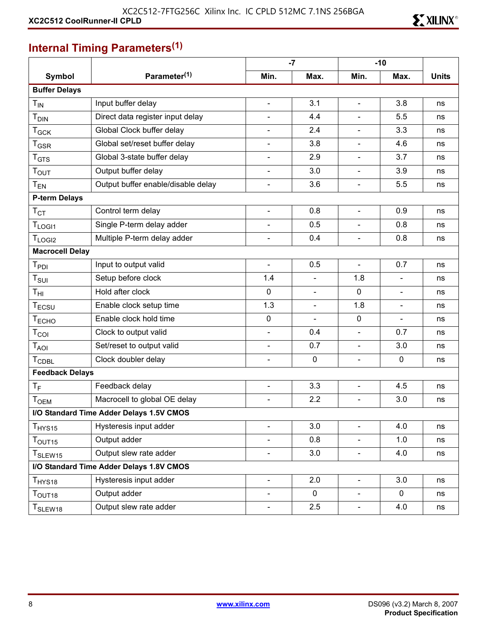

## **Internal Timing Parameters(1)**

|                        |                                          |                          | $-7$           |                          | $-10$          |              |
|------------------------|------------------------------------------|--------------------------|----------------|--------------------------|----------------|--------------|
| <b>Symbol</b>          | Parameter <sup>(1)</sup>                 | Min.                     | Max.           | Min.                     | Max.           | <b>Units</b> |
| <b>Buffer Delays</b>   |                                          |                          |                |                          |                |              |
| $T_{IN}$               | Input buffer delay                       | $\blacksquare$           | 3.1            | $\blacksquare$           | 3.8            | ns           |
| $T_{\text{DIN}}$       | Direct data register input delay         | -                        | 4.4            |                          | 5.5            | ns           |
| $T_{GCK}$              | Global Clock buffer delay                |                          | 2.4            |                          | 3.3            | ns           |
| $T_{\mathsf{GSR}}$     | Global set/reset buffer delay            | $\blacksquare$           | 3.8            |                          | 4.6            | ns           |
| $T_{\text{GTS}}$       | Global 3-state buffer delay              | $\blacksquare$           | 2.9            | $\blacksquare$           | 3.7            | ns           |
| T <sub>OUT</sub>       | Output buffer delay                      | $\blacksquare$           | 3.0            | $\blacksquare$           | 3.9            | ns           |
| $T_{EN}$               | Output buffer enable/disable delay       | $\blacksquare$           | 3.6            | $\blacksquare$           | 5.5            | ns           |
| <b>P-term Delays</b>   |                                          |                          |                |                          |                |              |
| $T_{\rm CT}$           | Control term delay                       | $\blacksquare$           | 0.8            | $\blacksquare$           | 0.9            | ns           |
| T <sub>LOGI1</sub>     | Single P-term delay adder                |                          | 0.5            | $\blacksquare$           | 0.8            | ns           |
| T <sub>LOGI2</sub>     | Multiple P-term delay adder              | $\blacksquare$           | 0.4            | $\overline{\phantom{a}}$ | 0.8            | ns           |
| <b>Macrocell Delay</b> |                                          |                          |                |                          |                |              |
| $T_{PDI}$              | Input to output valid                    | $\blacksquare$           | 0.5            | $\blacksquare$           | 0.7            | ns           |
| $T_{\rm SUI}$          | Setup before clock                       | 1.4                      |                | 1.8                      | $\blacksquare$ | ns           |
| $T_{\rm HI}$           | Hold after clock                         | 0                        | $\blacksquare$ | $\mathbf 0$              | $\blacksquare$ | ns           |
| $T_{ECSU}$             | Enable clock setup time                  | 1.3                      | $\blacksquare$ | 1.8                      | $\blacksquare$ | ns           |
| T <sub>ECHO</sub>      | Enable clock hold time                   | $\mathbf 0$              | $\blacksquare$ | $\mathbf 0$              | $\blacksquare$ | ns           |
| $T_{COI}$              | Clock to output valid                    | $\blacksquare$           | 0.4            | $\overline{\phantom{a}}$ | 0.7            | ns           |
| $T_{AOI}$              | Set/reset to output valid                | $\overline{\phantom{a}}$ | 0.7            | $\overline{\phantom{a}}$ | 3.0            | ns           |
| <b>TCDBL</b>           | Clock doubler delay                      |                          | $\mathbf 0$    | $\blacksquare$           | $\mathbf 0$    | ns           |
| <b>Feedback Delays</b> |                                          |                          |                |                          |                |              |
| $T_F$                  | Feedback delay                           | $\blacksquare$           | 3.3            | $\blacksquare$           | 4.5            | ns           |
| T <sub>OEM</sub>       | Macrocell to global OE delay             | $\overline{\phantom{0}}$ | 2.2            | $\blacksquare$           | 3.0            | ns           |
|                        | I/O Standard Time Adder Delays 1.5V CMOS |                          |                |                          |                |              |
| T <sub>HYS15</sub>     | Hysteresis input adder                   |                          | 3.0            | $\overline{a}$           | 4.0            | ns           |
| $T_{\text{OUT15}}$     | Output adder                             |                          | 0.8            |                          | 1.0            | ns           |
| T <sub>SLEW15</sub>    | Output slew rate adder                   | $\overline{\phantom{0}}$ | 3.0            | $\overline{\phantom{a}}$ | 4.0            | ns           |
|                        | I/O Standard Time Adder Delays 1.8V CMOS |                          |                |                          |                |              |
| T <sub>HYS18</sub>     | Hysteresis input adder                   | $\blacksquare$           | 2.0            | $\overline{\phantom{a}}$ | 3.0            | ns           |
| $T_{\text{OUT18}}$     | Output adder                             |                          | $\mathbf 0$    |                          | $\mathbf 0$    | ns           |
| T <sub>SLEW18</sub>    | Output slew rate adder                   | $\blacksquare$           | 2.5            | $\overline{\phantom{a}}$ | 4.0            | ns           |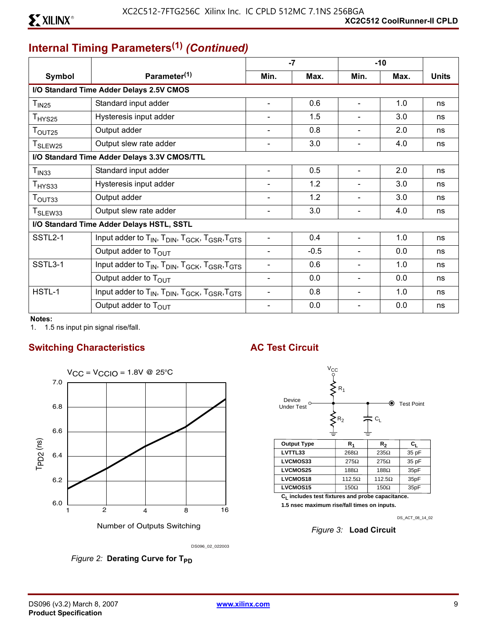## **Internal Timing Parameters(1)** *(Continued)*

|                     |                                                                                                            |                          | $-7$   | $-10$                    |      |              |
|---------------------|------------------------------------------------------------------------------------------------------------|--------------------------|--------|--------------------------|------|--------------|
| Symbol              | Parameter <sup>(1)</sup>                                                                                   | Min.                     | Max.   | Min.                     | Max. | <b>Units</b> |
|                     | I/O Standard Time Adder Delays 2.5V CMOS                                                                   |                          |        |                          |      |              |
| $T_{IN25}$          | Standard input adder                                                                                       |                          | 0.6    |                          | 1.0  | ns           |
| $T_{HYS25}$         | Hysteresis input adder                                                                                     |                          | 1.5    |                          | 3.0  | ns           |
| T <sub>OUT25</sub>  | Output adder                                                                                               |                          | 0.8    | $\blacksquare$           | 2.0  | ns           |
| T <sub>SLEW25</sub> | Output slew rate adder                                                                                     |                          | 3.0    |                          | 4.0  | ns           |
|                     | I/O Standard Time Adder Delays 3.3V CMOS/TTL                                                               |                          |        |                          |      |              |
| $T_{IN33}$          | Standard input adder                                                                                       |                          | 0.5    |                          | 2.0  | ns           |
| T <sub>HYS33</sub>  | Hysteresis input adder                                                                                     |                          | 1.2    |                          | 3.0  | ns           |
| T <sub>OUT33</sub>  | Output adder                                                                                               |                          | 1.2    | ٠                        | 3.0  | ns           |
| T <sub>SLEW33</sub> | Output slew rate adder                                                                                     |                          | 3.0    | $\blacksquare$           | 4.0  | ns           |
|                     | I/O Standard Time Adder Delays HSTL, SSTL                                                                  |                          |        |                          |      |              |
| SSTL2-1             | Input adder to T <sub>IN</sub> , T <sub>DIN</sub> , T <sub>GCK</sub> , T <sub>GSR</sub> , T <sub>GTS</sub> | $\blacksquare$           | 0.4    | Ξ.                       | 1.0  | ns           |
|                     | Output adder to T <sub>OUT</sub>                                                                           |                          | $-0.5$ | ۰                        | 0.0  | ns           |
| SSTL3-1             | Input adder to T <sub>IN</sub> , T <sub>DIN</sub> , T <sub>GCK</sub> , T <sub>GSR</sub> , T <sub>GTS</sub> |                          | 0.6    | $\overline{\phantom{a}}$ | 1.0  | ns           |
|                     | Output adder to T <sub>OUT</sub>                                                                           | $\overline{\phantom{0}}$ | 0.0    | $\overline{\phantom{a}}$ | 0.0  | ns           |
| HSTL-1              | Input adder to T <sub>IN</sub> , T <sub>DIN</sub> , T <sub>GCK</sub> , T <sub>GSR</sub> , T <sub>GTS</sub> |                          | 0.8    | $\overline{\phantom{a}}$ | 1.0  | ns           |
|                     | Output adder to T <sub>OUT</sub>                                                                           |                          | 0.0    |                          | 0.0  | ns           |

**Notes:** 

1. 1.5 ns input pin signal rise/fall.

#### **Switching Characteristics AC Test Circuit**



Number of Outputs Switching



**1.5 nsec maximum rise/fall times on inputs.**

DS\_ACT\_08\_14\_02

*Figure 3:* **Load Circuit**

*Figure 2:* Derating Curve for T<sub>PD</sub>

DS096\_02\_022003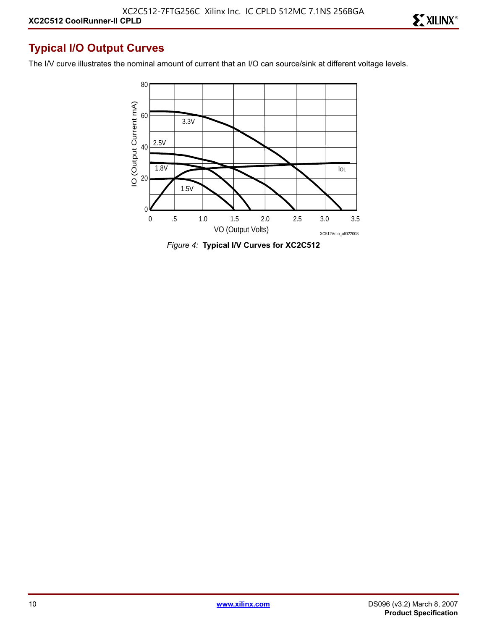#### **Typical I/O Output Curves**

The I/V curve illustrates the nominal amount of current that an I/O can source/sink at different voltage levels.



*Figure 4:* **Typical I/V Curves for XC2C512**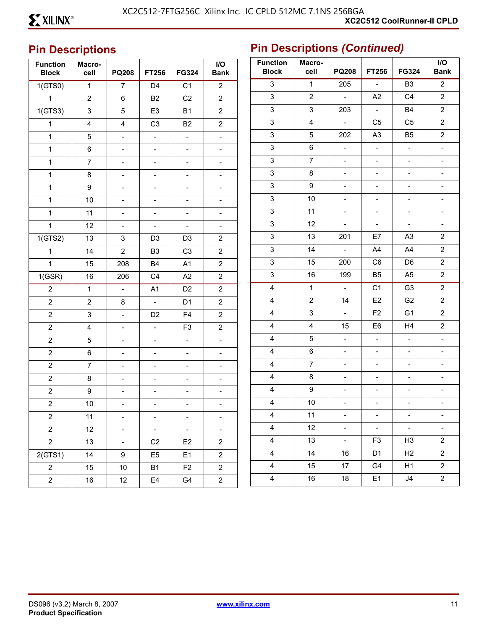## <sup>11</sup>**Pin Descriptions**

| <b>Function</b><br><b>Block</b> | Macro-<br>cell           | <b>PQ208</b>             | <b>FT256</b>                 | FG324                    | I/O<br><b>Bank</b>       | Fu<br>þ |
|---------------------------------|--------------------------|--------------------------|------------------------------|--------------------------|--------------------------|---------|
| 1(GTS0)                         | $\mathbf{1}$             | $\overline{7}$           | D <sub>4</sub>               | $\overline{C1}$          | $\overline{c}$           |         |
| $\mathbf 1$                     | $\overline{2}$           | 6                        | B <sub>2</sub>               | C2                       | $\overline{c}$           |         |
| 1(GTS3)                         | 3                        | 5                        | E <sub>3</sub>               | <b>B1</b>                | $\overline{2}$           |         |
| $\mathbf 1$                     | 4                        | 4                        | C <sub>3</sub>               | <b>B2</b>                | $\overline{c}$           |         |
| $\mathbf{1}$                    | 5                        | $\overline{\phantom{a}}$ | $\overline{\phantom{a}}$     | ÷,                       | ÷                        |         |
| $\mathbf{1}$                    | 6                        | $\overline{a}$           | $\overline{a}$               | $\overline{a}$           | $\overline{a}$           |         |
| $\mathbf 1$                     | $\overline{7}$           | $\overline{\phantom{0}}$ | $\qquad \qquad \blacksquare$ | $\overline{\phantom{0}}$ | $\overline{\phantom{0}}$ |         |
| 1                               | 8                        | -                        | $\overline{\phantom{0}}$     | -                        | ÷,                       |         |
| 1                               | 9                        | $\overline{a}$           |                              |                          |                          |         |
| $\mathbf 1$                     | 10                       | $\overline{\phantom{0}}$ | -                            | $\overline{\phantom{a}}$ | $\overline{\phantom{0}}$ |         |
| 1                               | 11                       | $\overline{\phantom{a}}$ | $\overline{a}$               | ÷,                       | $\qquad \qquad -$        |         |
| $\mathbf{1}$                    | 12                       | $\overline{a}$           |                              |                          | $\overline{a}$           |         |
| 1(GTS2)                         | 13                       | 3                        | D <sub>3</sub>               | D <sub>3</sub>           | $\overline{\mathbf{c}}$  |         |
| 1                               | 14                       | $\overline{c}$           | B <sub>3</sub>               | C <sub>3</sub>           | $\overline{c}$           |         |
| $\mathbf{1}$                    | 15                       | 208                      | <b>B4</b>                    | A1                       | $\overline{2}$           |         |
| 1(GSR)                          | 16                       | 206                      | C4                           | A2                       | $\overline{c}$           |         |
| $\overline{c}$                  | $\mathbf{1}$             | $\overline{a}$           | A1                           | D <sub>2</sub>           | $\overline{c}$           |         |
| $\overline{2}$                  | $\overline{2}$           | 8                        | $\overline{a}$               | D <sub>1</sub>           | $\overline{2}$           |         |
| $\overline{c}$                  | 3                        | $\overline{a}$           | D <sub>2</sub>               | F <sub>4</sub>           | $\overline{c}$           |         |
| $\overline{c}$                  | 4                        | ÷                        | $\overline{a}$               | F <sub>3</sub>           | $\overline{c}$           |         |
| $\overline{2}$                  | 5                        | $\overline{a}$           | $\overline{\phantom{a}}$     | $\overline{a}$           | $\overline{a}$           |         |
| $\overline{c}$                  | 6                        | $\overline{\phantom{0}}$ | $\overline{\phantom{a}}$     | $\overline{\phantom{0}}$ | $\Box$                   |         |
| $\overline{c}$                  | $\overline{\mathcal{I}}$ | $\overline{a}$           | $\overline{a}$               | $\overline{a}$           | $\blacksquare$           |         |
| $\overline{2}$                  | 8                        | $\overline{a}$           | -                            | -                        |                          |         |
| $\overline{c}$                  | 9                        | $\overline{\phantom{0}}$ | $\overline{\phantom{a}}$     | $\overline{\phantom{a}}$ | $\overline{\phantom{0}}$ |         |
| $\boldsymbol{2}$                | 10                       | -                        | $\overline{\phantom{a}}$     | -                        | $\overline{\phantom{0}}$ |         |
| $\overline{\mathbf{c}}$         | 11                       |                          | Ξ.                           | Ξ.                       |                          |         |
| $\overline{c}$                  | 12                       | $\overline{a}$           | $\frac{1}{2}$                | $\Box$                   | $\blacksquare$           |         |
| $\overline{c}$                  | 13                       | ÷                        | C <sub>2</sub>               | E <sub>2</sub>           | $\overline{\mathbf{c}}$  |         |
| 2(GTS1)                         | 14                       | 9                        | E <sub>5</sub>               | E <sub>1</sub>           | $\overline{c}$           |         |
| $\overline{c}$                  | 15                       | 10                       | <b>B1</b>                    | F <sub>2</sub>           | $\overline{\mathbf{c}}$  |         |
| $\mathbf{2}$                    | 16                       | 12                       | E4                           | G4                       | $\overline{\mathbf{c}}$  |         |

| <b>Function</b><br><b>Block</b> | Macro-<br>cell          | <b>PQ208</b>             | FT256                     | FG324                    | I/O<br><b>Bank</b>       |
|---------------------------------|-------------------------|--------------------------|---------------------------|--------------------------|--------------------------|
| 3                               | $\mathbf{1}$            | 205                      | $\mathbb{L}$              | B <sub>3</sub>           | $\overline{2}$           |
| 3                               | $\mathbf 2$             | $\overline{a}$           | A2                        | C <sub>4</sub>           | $\boldsymbol{2}$         |
| 3                               | 3                       | 203                      | $\mathbb{Z}^{\mathbb{Z}}$ | B4                       | $\overline{c}$           |
| 3                               | 4                       | $\Box$                   | C <sub>5</sub>            | C <sub>5</sub>           | $\overline{\mathbf{c}}$  |
| 3                               | 5                       | 202                      | A <sub>3</sub>            | B <sub>5</sub>           | $\boldsymbol{2}$         |
| 3                               | 6                       | $\overline{\phantom{a}}$ | $\overline{\phantom{a}}$  | $\overline{a}$           | $\overline{a}$           |
| 3                               | $\overline{7}$          | $\overline{\phantom{0}}$ | $\overline{a}$            | $\overline{a}$           | $\overline{a}$           |
| 3                               | 8                       | $\overline{\phantom{0}}$ | $\overline{\phantom{a}}$  | $\overline{\phantom{0}}$ | $\overline{\phantom{0}}$ |
| 3                               | 9                       | $\overline{\phantom{a}}$ | -                         | -                        | -                        |
| 3                               | 10                      | $\overline{\phantom{0}}$ | $\overline{a}$            |                          | $\overline{a}$           |
| 3                               | 11                      | $\overline{\phantom{0}}$ | $\overline{a}$            | $\overline{a}$           | $\overline{\phantom{0}}$ |
| 3                               | 12                      | $\blacksquare$           | $\overline{\phantom{a}}$  | ÷,                       | $\overline{\phantom{a}}$ |
| 3                               | 13                      | 201                      | E7                        | A3                       | 2                        |
| 3                               | 14                      | $\overline{a}$           | A4                        | A4                       | $\overline{\mathbf{c}}$  |
| 3                               | 15                      | 200                      | C <sub>6</sub>            | D <sub>6</sub>           | $\overline{\mathbf{c}}$  |
| 3                               | 16                      | 199                      | B <sub>5</sub>            | A <sub>5</sub>           | 2                        |
| 4                               | $\mathbf{1}$            | $\Box$                   | C <sub>1</sub>            | G <sub>3</sub>           | $\overline{\mathbf{c}}$  |
| 4                               | $\overline{\mathbf{c}}$ | 14                       | E <sub>2</sub>            | G <sub>2</sub>           | $\overline{\mathbf{c}}$  |
| 4                               | 3                       | $\Box$                   | F <sub>2</sub>            | G <sub>1</sub>           | $\overline{\mathbf{c}}$  |
| 4                               | 4                       | 15                       | E <sub>6</sub>            | H4                       | $\mathbf 2$              |
| 4                               | 5                       | ÷,                       | $\overline{\phantom{a}}$  | $\overline{a}$           | ÷,                       |
| 4                               | 6                       | $\overline{\phantom{0}}$ | $\overline{a}$            | $\overline{\phantom{0}}$ | $\overline{a}$           |
| 4                               | 7                       | $\overline{\phantom{0}}$ | $\overline{\phantom{a}}$  | $\overline{a}$           | $\overline{\phantom{0}}$ |
| 4                               | 8                       | -                        | -                         | -                        | -                        |
| 4                               | 9                       | $\overline{\phantom{0}}$ | -                         | -                        | $\overline{a}$           |
| 4                               | 10                      | -                        | $\overline{\phantom{a}}$  | $\overline{a}$           | $\overline{\phantom{0}}$ |
| 4                               | 11                      |                          |                           |                          |                          |
| 4                               | 12                      |                          |                           |                          |                          |
| 4                               | 13                      | $\Box$                   | F <sub>3</sub>            | H <sub>3</sub>           | $\overline{\mathbf{c}}$  |
| 4                               | 14                      | 16                       | D <sub>1</sub>            | H <sub>2</sub>           | $\overline{c}$           |
| 4                               | 15                      | 17                       | G4                        | H1                       | $\overline{\mathbf{c}}$  |
| 4                               | 16                      | 18                       | E <sub>1</sub>            | J4                       | $\boldsymbol{2}$         |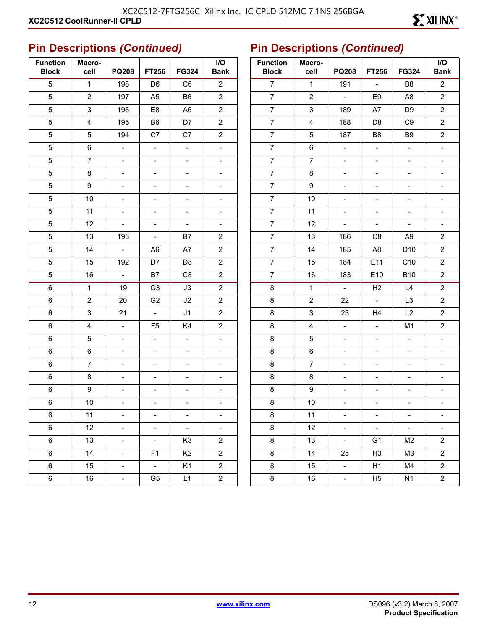| <b>Function</b><br><b>Block</b> | Macro-<br>cell | <b>PQ208</b>             | <b>FT256</b>             | FG324                    | I/O<br><b>Bank</b>       |
|---------------------------------|----------------|--------------------------|--------------------------|--------------------------|--------------------------|
| 5                               | $\mathbf{1}$   | 198                      | D <sub>6</sub>           | C <sub>6</sub>           | $\overline{2}$           |
| 5                               | 2              | 197                      | A <sub>5</sub>           | B6                       | $\overline{c}$           |
| 5                               | 3              | 196                      | E <sub>8</sub>           | A <sub>6</sub>           | $\overline{c}$           |
| 5                               | 4              | 195                      | B6                       | D7                       | $\overline{c}$           |
| 5                               | 5              | 194                      | C7                       | C7                       | $\overline{c}$           |
| 5                               | 6              | $\frac{1}{2}$            | $\overline{a}$           | $\frac{1}{2}$            | $\overline{\phantom{0}}$ |
| 5                               | $\overline{7}$ | $\overline{\phantom{a}}$ | $\overline{a}$           | $\overline{a}$           | -                        |
| 5                               | 8              | $\overline{\phantom{0}}$ | -                        | $\overline{\phantom{0}}$ | $\overline{\phantom{0}}$ |
| 5                               | 9              | $\overline{\phantom{0}}$ | -                        | $\overline{\phantom{0}}$ | $\overline{\phantom{0}}$ |
| 5                               | 10             | ÷,                       | -                        | $\overline{\phantom{0}}$ | -                        |
| 5                               | 11             | $\overline{\phantom{0}}$ | -                        | $\overline{\phantom{0}}$ | $\overline{\phantom{0}}$ |
| 5                               | 12             | $\overline{\phantom{0}}$ | $\overline{\phantom{0}}$ | $\overline{\phantom{0}}$ | $\overline{\phantom{0}}$ |
| 5                               | 13             | 193                      | $\overline{\phantom{a}}$ | B7                       | $\overline{\mathbf{c}}$  |
| 5                               | 14             | $\overline{\phantom{m}}$ | A6                       | A7                       | $\overline{c}$           |
| 5                               | 15             | 192                      | D7                       | D <sub>8</sub>           | $\overline{c}$           |
| 5                               | 16             | $\omega$                 | B7                       | C8                       | $\overline{c}$           |
| 6                               | $\mathbf{1}$   | 19                       | G <sub>3</sub>           | J3                       | $\overline{2}$           |
| 6                               | $\mathbf 2$    | 20                       | G <sub>2</sub>           | J2                       | $\overline{c}$           |
| 6                               | 3              | 21                       | $\omega$                 | J <sub>1</sub>           | $\overline{c}$           |
| 6                               | 4              | $\frac{1}{2}$            | F <sub>5</sub>           | K4                       | 2                        |
| 6                               | 5              | $\overline{\phantom{0}}$ | $\overline{a}$           | $\overline{a}$           | $\overline{\phantom{0}}$ |
| 6                               | 6              | ÷,                       | $\overline{a}$           | $\overline{\phantom{a}}$ | $\overline{\phantom{0}}$ |
| 6                               | 7              | $\overline{\phantom{0}}$ | -                        | $\overline{\phantom{0}}$ |                          |
| 6                               | 8              | $\overline{\phantom{0}}$ | $\overline{a}$           | $\overline{\phantom{0}}$ | $\overline{\phantom{0}}$ |
| 6                               | 9              | $\overline{\phantom{0}}$ | -                        | -                        | $\overline{\phantom{0}}$ |
| 6                               | 10             | $\overline{\phantom{0}}$ |                          | $\overline{\phantom{0}}$ |                          |
| 6                               | 11             |                          |                          |                          |                          |
| 6                               | 12             | $\overline{a}$           | $\overline{a}$           | $\overline{a}$           | $\overline{\phantom{a}}$ |
| 6                               | 13             | -                        | -                        | K <sub>3</sub>           | $\overline{\mathbf{c}}$  |
| 6                               | 14             | -                        | F <sub>1</sub>           | K <sub>2</sub>           | $\overline{\mathbf{c}}$  |
| 6                               | 15             | -                        | $\blacksquare$           | K <sub>1</sub>           | $\overline{c}$           |
| 6                               | 16             |                          | G <sub>5</sub>           | L1                       | $\overline{c}$           |

| <b>Function</b><br><b>Block</b> | Macro-<br>cell | <b>PQ208</b>                 | FT256                    | FG324           | I/O<br><b>Bank</b>       |
|---------------------------------|----------------|------------------------------|--------------------------|-----------------|--------------------------|
| $\overline{7}$                  | $\mathbf{1}$   | 191                          | $\overline{a}$           | B <sub>8</sub>  | $\overline{c}$           |
| 7                               | $\overline{c}$ | $\overline{a}$               | E9                       | A <sub>8</sub>  | $\mathbf 2$              |
| $\overline{7}$                  | 3              | 189                          | A7                       | D <sub>9</sub>  | $\overline{\mathbf{c}}$  |
| $\overline{7}$                  | $\overline{4}$ | 188                          | D8                       | C <sub>9</sub>  | 2                        |
| $\overline{7}$                  | 5              | 187                          | B8                       | B <sub>9</sub>  | $\overline{\mathbf{c}}$  |
| $\overline{7}$                  | 6              | ÷,                           | $\overline{\phantom{a}}$ | $\overline{a}$  | $\overline{\phantom{a}}$ |
| $\overline{7}$                  | 7              | $\overline{\phantom{0}}$     | $\overline{a}$           | $\overline{a}$  | $\overline{\phantom{a}}$ |
| $\overline{7}$                  | 8              | $\overline{\phantom{0}}$     | $\overline{\phantom{a}}$ | $\overline{a}$  | -                        |
| $\overline{7}$                  | 9              | -                            | -                        | -               | -                        |
| $\overline{7}$                  | 10             | $\overline{a}$               | $\overline{\phantom{0}}$ |                 | -                        |
| 7                               | 11             | $\overline{\phantom{0}}$     | $\overline{\phantom{a}}$ | $\overline{a}$  | $\overline{\phantom{0}}$ |
| $\overline{7}$                  | 12             | $\Box$                       | $\overline{\phantom{a}}$ | ÷,              | $\blacksquare$           |
| $\overline{7}$                  | 13             | 186                          | C <sub>8</sub>           | A9              | 2                        |
| 7                               | 14             | 185                          | A8                       | D <sub>10</sub> | 2                        |
| $\overline{7}$                  | 15             | 184                          | E11                      | C10             | $\overline{\mathbf{c}}$  |
| 7                               | 16             | 183                          | E10                      | <b>B10</b>      | 2                        |
| 8                               | 1              | $\frac{1}{2}$                | H2                       | L4              | $\overline{\mathbf{c}}$  |
| 8                               | $\overline{c}$ | 22                           | $\Box$                   | L3              | $\overline{\mathbf{c}}$  |
| 8                               | 3              | 23                           | H <sub>4</sub>           | L2              | $\overline{\mathbf{c}}$  |
| 8                               | 4              | L,                           | $\overline{a}$           | M <sub>1</sub>  | 2                        |
| 8                               | 5              | $\qquad \qquad \blacksquare$ | -                        | $\overline{a}$  | $\overline{a}$           |
| 8                               | 6              | $\overline{\phantom{0}}$     | $\overline{a}$           | $\overline{a}$  | $\overline{a}$           |
| 8                               | 7              | $\overline{\phantom{0}}$     | $\overline{\phantom{0}}$ | $\overline{a}$  | -                        |
| 8                               | 8              | $\overline{\phantom{0}}$     | -                        | -               | -                        |
| 8                               | 9              | $\overline{\phantom{0}}$     | -                        | $\overline{a}$  |                          |
| 8                               | 10             | $\overline{a}$               | $\overline{\phantom{0}}$ | $\overline{a}$  | -                        |
| 8                               | 11             |                              |                          |                 | -                        |
| 8                               | 12             |                              |                          | $\overline{a}$  |                          |
| 8                               | 13             | $\overline{\phantom{0}}$     | G1                       | M <sub>2</sub>  | $\overline{\mathbf{c}}$  |
| 8                               | 14             | 25                           | H <sub>3</sub>           | M3              | 2                        |
| 8                               | 15             | $\overline{\phantom{0}}$     | H1                       | M4              | $\overline{\mathbf{c}}$  |
| 8                               | 16             | ÷                            | H <sub>5</sub>           | N <sub>1</sub>  | $\overline{\mathbf{c}}$  |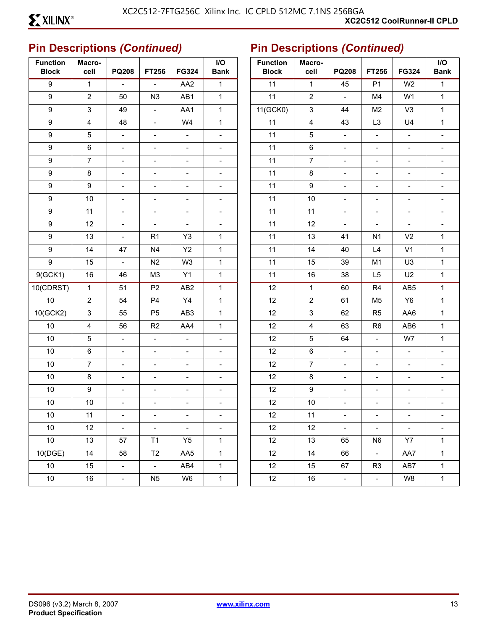| <b>Function</b><br><b>Block</b> | Macro-<br>cell          | <b>PQ208</b>              | FT256                    | FG324                    | I/O<br><b>Bank</b>           | <b>Function</b><br><b>Block</b> | Macro-<br>cell          | <b>PQ208</b>             | FT256                        | FG324                    | I/O<br><b>Bank</b>           |
|---------------------------------|-------------------------|---------------------------|--------------------------|--------------------------|------------------------------|---------------------------------|-------------------------|--------------------------|------------------------------|--------------------------|------------------------------|
| $\boldsymbol{9}$                | $\mathbf{1}$            | $\overline{\phantom{a}}$  | $\blacksquare$           | AA <sub>2</sub>          | $\mathbf 1$                  | 11                              | $\mathbf{1}$            | 45                       | P <sub>1</sub>               | W <sub>2</sub>           | $\mathbf 1$                  |
| 9                               | $\overline{2}$          | 50                        | N3                       | AB1                      | $\mathbf{1}$                 | 11                              | $\overline{2}$          | $\frac{1}{2}$            | M4                           | W <sub>1</sub>           | $\mathbf{1}$                 |
| 9                               | $\mathsf 3$             | 49                        | $\overline{\phantom{a}}$ | AA1                      | $\mathbf{1}$                 | 11(GCK0)                        | $\mathbf{3}$            | 44                       | M <sub>2</sub>               | V <sub>3</sub>           | $\mathbf{1}$                 |
| 9                               | $\overline{\mathbf{4}}$ | 48                        | $\overline{\phantom{a}}$ | W4                       | $\mathbf{1}$                 | 11                              | $\overline{\mathbf{4}}$ | 43                       | L <sub>3</sub>               | U <sub>4</sub>           | $\mathbf{1}$                 |
| 9                               | $\mathbf 5$             | $\blacksquare$            | $\overline{\phantom{a}}$ | $\blacksquare$           | $\frac{1}{2}$                | 11                              | 5                       | $\frac{1}{2}$            | $\blacksquare$               | $\overline{\phantom{a}}$ | $\blacksquare$               |
| 9                               | $\,6\,$                 | $\overline{\phantom{a}}$  | $\blacksquare$           | $\blacksquare$           | $\qquad \qquad -$            | 11                              | $\,6\,$                 | $\overline{\phantom{a}}$ | $\overline{\phantom{a}}$     | $\overline{\phantom{a}}$ | $\overline{\phantom{a}}$     |
| 9                               | $\overline{7}$          | $\frac{1}{2}$             | $\overline{\phantom{a}}$ | $\overline{\phantom{a}}$ | $\qquad \qquad -$            | 11                              | $\overline{7}$          | $\overline{\phantom{0}}$ | $\overline{\phantom{a}}$     | $\overline{\phantom{a}}$ | $\overline{\phantom{0}}$     |
| 9                               | $\bf 8$                 | $\blacksquare$            | $\overline{\phantom{a}}$ | $\overline{\phantom{a}}$ | $\frac{1}{2}$                | 11                              | $\bf 8$                 | $\blacksquare$           | $\blacksquare$               | $\overline{\phantom{a}}$ |                              |
| 9                               | $\boldsymbol{9}$        | $\overline{\phantom{a}}$  | $\blacksquare$           | $\qquad \qquad -$        | $\qquad \qquad \blacksquare$ | 11                              | $\boldsymbol{9}$        | $\overline{\phantom{a}}$ | $\overline{\phantom{a}}$     | $\blacksquare$           | $\overline{\phantom{0}}$     |
| 9                               | $10$                    | $\frac{1}{2}$             | $\blacksquare$           | $\blacksquare$           | $\blacksquare$               | 11                              | $10$                    | $\frac{1}{2}$            | $\frac{1}{2}$                | $\overline{\phantom{a}}$ | $\blacksquare$               |
| 9                               | 11                      | $\blacksquare$            | $\overline{\phantom{a}}$ | $\blacksquare$           | $\frac{1}{2}$                | 11                              | 11                      | $\blacksquare$           | $\blacksquare$               | $\blacksquare$           |                              |
| 9                               | 12                      | $\overline{\phantom{a}}$  | $\overline{\phantom{a}}$ | $\blacksquare$           | $\qquad \qquad \blacksquare$ | 11                              | 12                      | $\blacksquare$           | $\overline{\phantom{a}}$     | $\overline{\phantom{a}}$ | $\qquad \qquad \blacksquare$ |
| 9                               | 13                      | $\frac{1}{2}$             | R <sub>1</sub>           | Y3                       | 1                            | 11                              | 13                      | 41                       | N <sub>1</sub>               | V <sub>2</sub>           | $\mathbf{1}$                 |
| 9                               | 14                      | 47                        | N <sub>4</sub>           | Y2                       | $\mathbf{1}$                 | 11                              | 14                      | 40                       | L4                           | V <sub>1</sub>           | $\mathbf{1}$                 |
| 9                               | 15                      | $\overline{\phantom{a}}$  | N2                       | W <sub>3</sub>           | $\mathbf{1}$                 | 11                              | 15                      | 39                       | M <sub>1</sub>               | U <sub>3</sub>           | $\mathbf{1}$                 |
| 9(GCK1)                         | 16                      | 46                        | M <sub>3</sub>           | Y1                       | $\mathbf{1}$                 | 11                              | 16                      | 38                       | L5                           | U <sub>2</sub>           | $\mathbf{1}$                 |
| 10(CDRST)                       | $\mathbf{1}$            | 51                        | P <sub>2</sub>           | AB <sub>2</sub>          | $\mathbf{1}$                 | 12                              | $\mathbf{1}$            | 60                       | R <sub>4</sub>               | AB5                      | $\mathbf{1}$                 |
| 10                              | $\sqrt{2}$              | 54                        | P <sub>4</sub>           | Y4                       | $\mathbf{1}$                 | 12                              | $\overline{2}$          | 61                       | M <sub>5</sub>               | Y <sub>6</sub>           | $\mathbf{1}$                 |
| 10(GCK2)                        | $\mathfrak{S}$          | 55                        | P <sub>5</sub>           | AB <sub>3</sub>          | $\mathbf{1}$                 | 12                              | $\mathbf{3}$            | 62                       | R <sub>5</sub>               | AA6                      | $\mathbf{1}$                 |
| $10$                            | $\overline{\mathbf{4}}$ | 56                        | R2                       | AA4                      | $\mathbf{1}$                 | 12                              | $\overline{\mathbf{4}}$ | 63                       | R <sub>6</sub>               | AB6                      | $\mathbf{1}$                 |
| 10                              | $\mathbf 5$             | $\overline{\phantom{a}}$  | $\overline{\phantom{a}}$ | $\overline{\phantom{a}}$ | $\overline{\phantom{a}}$     | 12                              | 5                       | 64                       | $\overline{\phantom{a}}$     | W7                       | $\mathbf{1}$                 |
| $10$                            | $\,6\,$                 | $\blacksquare$            | $\overline{\phantom{a}}$ | $\overline{\phantom{a}}$ | $\qquad \qquad -$            | 12                              | $\,6\,$                 | $\blacksquare$           | $\blacksquare$               | $\qquad \qquad -$        | $\qquad \qquad \blacksquare$ |
| 10                              | $\overline{7}$          | $\blacksquare$            | $\overline{\phantom{a}}$ | $\overline{\phantom{a}}$ | $\frac{1}{2}$                | 12                              | $\overline{7}$          | $\blacksquare$           | $\qquad \qquad \blacksquare$ | $\overline{\phantom{a}}$ |                              |
| 10                              | $\bf 8$                 | $\overline{\phantom{a}}$  | $\blacksquare$           | $\qquad \qquad -$        | $\qquad \qquad \blacksquare$ | 12                              | $\bf 8$                 | $\overline{\phantom{a}}$ | $\overline{\phantom{a}}$     | $\blacksquare$           | $\qquad \qquad \blacksquare$ |
| $10$                            | $\boldsymbol{9}$        | $\qquad \qquad -$         | $\blacksquare$           | $\overline{\phantom{a}}$ | $\qquad \qquad -$            | 12                              | $\boldsymbol{9}$        | $\overline{\phantom{0}}$ | $\overline{\phantom{a}}$     | $\overline{\phantom{a}}$ | $\blacksquare$               |
| 10                              | $10$                    | $\frac{1}{2}$             | $\overline{\phantom{a}}$ | $\overline{a}$           | $\overline{a}$               | 12                              | $10$                    | $\overline{\phantom{0}}$ | $\frac{1}{2}$                | $\blacksquare$           |                              |
| $10\,$                          | 11                      |                           |                          |                          |                              | 12                              | 11                      |                          |                              |                          |                              |
| 10                              | 12                      | $\mathbb{L}^{\mathbb{N}}$ | $\blacksquare$           | $\blacksquare$           | $\overline{\phantom{0}}$     | 12                              | 12                      | $\equiv$                 | $\blacksquare$               | $\blacksquare$           |                              |
| 10                              | 13                      | 57                        | T1                       | Y <sub>5</sub>           | $\mathbf{1}$                 | 12                              | 13                      | 65                       | N <sub>6</sub>               | Y7                       | $\mathbf{1}$                 |
| 10(DGE)                         | 14                      | 58                        | T2                       | AA5                      | $\mathbf{1}$                 | 12                              | 14                      | 66                       | $\sim$                       | AA7                      | $\mathbf{1}$                 |
| 10 <sup>°</sup>                 | 15                      | $\sim$                    | $\omega_{\rm c}$         | AB4                      | $\mathbf{1}$                 | 12                              | 15                      | 67                       | R <sub>3</sub>               | AB7                      | $\mathbf 1$                  |
| $10\,$                          | 16                      | $\equiv$                  | N <sub>5</sub>           | W6                       | $\mathbf{1}$                 | 12                              | 16                      | $\pm$                    | $\omega_{\rm c}$             | W8                       | $\mathbf 1$                  |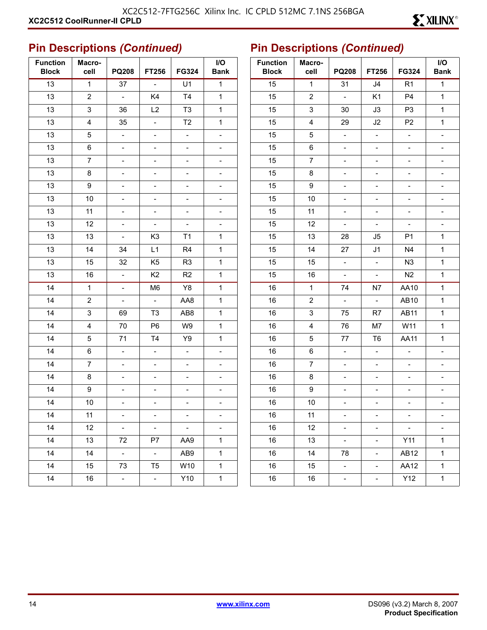| <b>Function</b><br><b>Block</b> | Macro-<br>cell | <b>PQ208</b>             | <b>FT256</b>                 | FG324                    | I/O<br><b>Bank</b>       |
|---------------------------------|----------------|--------------------------|------------------------------|--------------------------|--------------------------|
| 13                              | $\mathbf{1}$   | 37                       | $\overline{a}$               | U1                       | 1                        |
| 13                              | 2              | $\omega$                 | K4                           | T4                       | 1                        |
| 13                              | 3              | 36                       | L2                           | T <sub>3</sub>           | 1                        |
| 13                              | 4              | 35                       | $\frac{1}{2}$                | T <sub>2</sub>           | 1                        |
| 13                              | 5              | $\qquad \qquad -$        | $\overline{\phantom{0}}$     | $\overline{\phantom{0}}$ | $\overline{\phantom{0}}$ |
| 13                              | 6              | $\overline{\phantom{0}}$ | $\frac{1}{2}$                | $\overline{\phantom{0}}$ | $\overline{\phantom{0}}$ |
| 13                              | 7              | -                        | $\qquad \qquad \blacksquare$ | $\overline{\phantom{0}}$ | $\overline{\phantom{0}}$ |
| 13                              | 8              | -                        | $\overline{\phantom{0}}$     | $\overline{\phantom{0}}$ | $\overline{\phantom{0}}$ |
| 13                              | 9              | $\overline{a}$           | $\frac{1}{2}$                | $\overline{a}$           | $\overline{\phantom{0}}$ |
| 13                              | 10             | -                        | $\qquad \qquad \blacksquare$ | $\overline{\phantom{0}}$ | $\overline{\phantom{0}}$ |
| 13                              | 11             | $\blacksquare$           | $\overline{\phantom{0}}$     | $\overline{\phantom{0}}$ | $\overline{\phantom{0}}$ |
| 13                              | 12             | $\overline{\phantom{0}}$ | $\overline{\phantom{0}}$     | $\overline{\phantom{0}}$ | $\overline{\phantom{0}}$ |
| 13                              | 13             | $\overline{\phantom{0}}$ | K <sub>3</sub>               | T1                       | 1                        |
| 13                              | 14             | 34                       | L1                           | R4                       | 1                        |
| 13                              | 15             | 32                       | K <sub>5</sub>               | R <sub>3</sub>           | 1                        |
| 13                              | 16             | $\frac{1}{2}$            | K <sub>2</sub>               | R <sub>2</sub>           | 1                        |
| 14                              | 1              | ÷,                       | M <sub>6</sub>               | Y8                       | 1                        |
| 14                              | $\overline{2}$ | $\overline{\phantom{0}}$ | $\overline{a}$               | AA8                      | 1                        |
| 14                              | 3              | 69                       | T <sub>3</sub>               | AB8                      | $\mathbf 1$              |
| 14                              | 4              | 70                       | P6                           | W9                       | 1                        |
| 14                              | 5              | 71                       | T4                           | Y9                       | 1                        |
| 14                              | 6              | $\overline{\phantom{0}}$ | $\frac{1}{2}$                | $\overline{\phantom{0}}$ | $\overline{\phantom{0}}$ |
| 14                              | 7              | ÷,                       | $\overline{\phantom{0}}$     | $\overline{\phantom{0}}$ | $\overline{\phantom{0}}$ |
| 14                              | 8              | $\overline{\phantom{0}}$ | $\frac{1}{2}$                | $\overline{\phantom{0}}$ | $\overline{\phantom{0}}$ |
| 14                              | 9              | -                        | $\qquad \qquad \blacksquare$ | $\overline{\phantom{0}}$ | $\overline{\phantom{0}}$ |
| 14                              | 10             | -                        | $\overline{\phantom{0}}$     | $\overline{\phantom{0}}$ | $\overline{\phantom{0}}$ |
| 14                              | 11             |                          |                              |                          |                          |
| 14                              | 12             | $\overline{\phantom{0}}$ | $\frac{1}{2}$                | $\overline{\phantom{0}}$ | $\overline{\phantom{0}}$ |
| 14                              | 13             | 72                       | P7                           | AA9                      | 1                        |
| 14                              | 14             | $\omega$                 | $\Box$                       | AB9                      | 1                        |
| 14                              | 15             | 73                       | T <sub>5</sub>               | W10                      | $\mathbf 1$              |
| 14                              | 16             | $\blacksquare$           | $\overline{\phantom{a}}$     | Y10                      | 1                        |

| <b>Function</b><br><b>Block</b> | Macro-<br>cell | <b>PQ208</b>                 | <b>FT256</b>             | FG324                        | I/O<br><b>Bank</b>       |
|---------------------------------|----------------|------------------------------|--------------------------|------------------------------|--------------------------|
| 15                              | $\mathbf{1}$   | 31                           | J4                       | R1                           | $\mathbf{1}$             |
| 15                              | $\overline{c}$ | $\Box$                       | K1                       | P <sub>4</sub>               | $\mathbf{1}$             |
| 15                              | 3              | 30                           | J3                       | P <sub>3</sub>               | 1                        |
| 15                              | 4              | 29                           | J2                       | P <sub>2</sub>               | $\mathbf 1$              |
| 15                              | 5              | $\overline{\phantom{a}}$     | $\overline{\phantom{0}}$ | $\overline{a}$               | $\overline{a}$           |
| 15                              | 6              | $\overline{\phantom{0}}$     | $\overline{\phantom{0}}$ | $\overline{a}$               | $\overline{\phantom{0}}$ |
| 15                              | $\overline{7}$ | $\overline{a}$               | $\overline{\phantom{a}}$ |                              |                          |
| 15                              | 8              | -                            | $\overline{\phantom{a}}$ | -                            |                          |
| 15                              | 9              | $\overline{\phantom{0}}$     | $\overline{\phantom{0}}$ | $\overline{a}$               | $\overline{\phantom{0}}$ |
| 15                              | 10             | -                            | -                        |                              | $\overline{a}$           |
| 15                              | 11             | $\qquad \qquad \blacksquare$ | $\overline{\phantom{a}}$ | $\overline{a}$               | -                        |
| 15                              | 12             | $\blacksquare$               | $\frac{1}{2}$            | $\overline{\phantom{0}}$     | $\overline{\phantom{0}}$ |
| 15                              | 13             | 28                           | J5                       | P <sub>1</sub>               | 1                        |
| 15                              | 14             | 27                           | J1                       | N4                           | $\mathbf 1$              |
| 15                              | 15             | $\Box$                       | $\frac{1}{2}$            | N <sub>3</sub>               | 1                        |
| 15                              | 16             | $\overline{\phantom{0}}$     | $\overline{\phantom{a}}$ | N2                           | 1                        |
| 16                              | 1              | 74                           | N7                       | AA10                         | $\mathbf 1$              |
| 16                              | $\mathbf 2$    | $\Box$                       | $\omega$                 | AB10                         | 1                        |
| 16                              | 3              | 75                           | R7                       | <b>AB11</b>                  | $\mathbf 1$              |
| 16                              | 4              | 76                           | M7                       | W11                          | $\mathbf 1$              |
| 16                              | 5              | 77                           | T <sub>6</sub>           | <b>AA11</b>                  | 1                        |
| 16                              | 6              | $\overline{a}$               | $\overline{a}$           | $\overline{a}$               | -                        |
| 16                              | $\overline{7}$ | $\qquad \qquad \blacksquare$ | $\overline{\phantom{a}}$ | $\qquad \qquad \blacksquare$ | -                        |
| 16                              | 8              | $\overline{\phantom{0}}$     | $\overline{\phantom{0}}$ | $\overline{a}$               | $\overline{\phantom{0}}$ |
| 16                              | 9              | -                            | $\overline{\phantom{a}}$ |                              |                          |
| 16                              | 10             | -                            | $\qquad \qquad -$        | $\overline{\phantom{0}}$     | -                        |
| 16                              | 11             |                              |                          |                              |                          |
| 16                              | 12             |                              | -                        |                              |                          |
| 16                              | 13             | $\overline{\phantom{0}}$     |                          | Y11                          | 1                        |
| 16                              | 14             | 78                           | -                        | AB12                         | 1                        |
| 16                              | 15             |                              |                          | AA12                         | 1                        |
| 16                              | $16\,$         | -                            |                          | Y12                          | $\mathbf 1$              |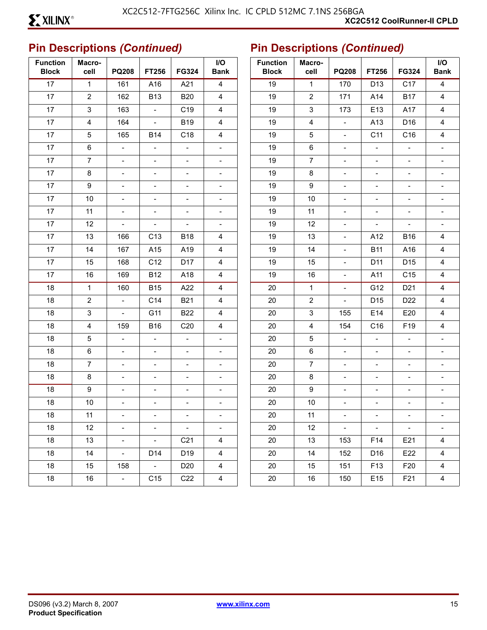| <b>Function</b><br><b>Block</b> | Macro-<br>cell          | <b>PQ208</b>             | FT256                    | FG324                    | $\mathsf{I/O}$<br><b>Bank</b> | <b>Function</b><br><b>Block</b> | Macro-<br>cell          | <b>PQ208</b>             | FT256                    | <b>FG324</b>             | $\mathsf{I}/\mathsf{O}$<br><b>Bank</b> |
|---------------------------------|-------------------------|--------------------------|--------------------------|--------------------------|-------------------------------|---------------------------------|-------------------------|--------------------------|--------------------------|--------------------------|----------------------------------------|
| 17                              | $\mathbf{1}$            | 161                      | A16                      | A21                      | $\overline{4}$                | 19                              | $\mathbf{1}$            | 170                      | D13                      | C17                      | $\overline{\mathbf{4}}$                |
| 17                              | $\sqrt{2}$              | 162                      | <b>B13</b>               | <b>B20</b>               | $\overline{4}$                | 19                              | $\overline{2}$          | 171                      | A14                      | <b>B17</b>               | 4                                      |
| 17                              | $\mathfrak{S}$          | 163                      | $\blacksquare$           | C <sub>19</sub>          | $\overline{4}$                | 19                              | $\mathbf{3}$            | 173                      | E13                      | A17                      | 4                                      |
| 17                              | $\overline{\mathbf{4}}$ | 164                      | $\overline{\phantom{a}}$ | <b>B19</b>               | $\overline{\mathbf{4}}$       | 19                              | $\overline{\mathbf{4}}$ | $\overline{\phantom{a}}$ | A13                      | D16                      | $\overline{\mathbf{4}}$                |
| 17                              | $\sqrt{5}$              | 165                      | <b>B14</b>               | C18                      | $\overline{4}$                | 19                              | 5                       | $\overline{\phantom{a}}$ | C11                      | C16                      | 4                                      |
| 17                              | $\,6\,$                 | $\blacksquare$           | $\overline{\phantom{a}}$ | $\overline{\phantom{a}}$ | $\blacksquare$                | 19                              | $\,6\,$                 | $\overline{\phantom{a}}$ | $\blacksquare$           | $\overline{\phantom{a}}$ |                                        |
| 17                              | $\overline{7}$          | $\blacksquare$           | $\overline{\phantom{a}}$ | $\blacksquare$           | $\frac{1}{2}$                 | 19                              | $\overline{7}$          | $\equiv$                 | $\blacksquare$           | $\overline{\phantom{a}}$ | $\blacksquare$                         |
| 17                              | $\bf 8$                 | $\overline{\phantom{a}}$ | $\overline{\phantom{a}}$ | $\overline{\phantom{a}}$ | -                             | 19                              | $\bf 8$                 | $\overline{\phantom{a}}$ | $\overline{\phantom{a}}$ | $\overline{\phantom{a}}$ |                                        |
| 17                              | 9                       | $\blacksquare$           | $\overline{\phantom{a}}$ | $\blacksquare$           | $\overline{\phantom{0}}$      | 19                              | $\boldsymbol{9}$        | $\blacksquare$           | $\blacksquare$           | $\overline{\phantom{a}}$ | $\blacksquare$                         |
| 17                              | $10$                    | $\overline{\phantom{a}}$ | $\blacksquare$           | $\blacksquare$           | $\qquad \qquad \blacksquare$  | 19                              | 10                      | $\overline{\phantom{a}}$ | $\overline{\phantom{a}}$ | $\overline{\phantom{a}}$ | $\overline{\phantom{a}}$               |
| 17                              | 11                      | $\overline{\phantom{a}}$ | $\overline{\phantom{a}}$ | $\overline{\phantom{a}}$ | $\overline{a}$                | 19                              | 11                      | $\overline{\phantom{a}}$ | $\overline{\phantom{a}}$ | $\overline{\phantom{a}}$ |                                        |
| 17                              | 12                      | $\overline{\phantom{a}}$ | $\overline{\phantom{a}}$ | $\overline{\phantom{a}}$ | $\overline{\phantom{0}}$      | 19                              | 12                      | $\overline{\phantom{a}}$ | $\overline{\phantom{a}}$ | $\overline{\phantom{a}}$ | $\overline{\phantom{a}}$               |
| 17                              | 13                      | 166                      | C <sub>13</sub>          | <b>B18</b>               | $\overline{\mathbf{4}}$       | 19                              | 13                      | $\overline{\phantom{a}}$ | A12                      | <b>B16</b>               | 4                                      |
| 17                              | 14                      | 167                      | A15                      | A19                      | 4                             | 19                              | 14                      | $\overline{\phantom{a}}$ | <b>B11</b>               | A16                      | 4                                      |
| 17                              | 15                      | 168                      | C12                      | D17                      | $\overline{\mathbf{4}}$       | 19                              | 15                      | $\blacksquare$           | D11                      | D <sub>15</sub>          | 4                                      |
| 17                              | 16                      | 169                      | <b>B12</b>               | A18                      | $\overline{\mathbf{4}}$       | 19                              | 16                      | $\overline{\phantom{a}}$ | A11                      | C15                      | $\overline{\mathbf{4}}$                |
| 18                              | $\mathbf{1}$            | 160                      | <b>B15</b>               | A22                      | $\overline{\mathbf{4}}$       | 20                              | $\mathbf{1}$            | $\overline{\phantom{a}}$ | G12                      | D <sub>21</sub>          | $\overline{\mathbf{4}}$                |
| 18                              | $\overline{2}$          | $\blacksquare$           | C14                      | <b>B21</b>               | $\overline{4}$                | 20                              | $\overline{2}$          | $\blacksquare$           | D <sub>15</sub>          | D22                      | $\overline{\mathbf{4}}$                |
| 18                              | $\sqrt{3}$              | $\overline{\phantom{a}}$ | G11                      | <b>B22</b>               | $\overline{4}$                | 20                              | $\mathsf 3$             | 155                      | E14                      | E20                      | 4                                      |
| 18                              | $\overline{4}$          | 159                      | <b>B16</b>               | C <sub>20</sub>          | 4                             | 20                              | $\overline{4}$          | 154                      | C16                      | F19                      | 4                                      |
| 18                              | $\sqrt{5}$              | $\overline{\phantom{a}}$ | $\overline{\phantom{a}}$ | $\overline{\phantom{a}}$ | $\blacksquare$                | 20                              | 5                       | $\overline{\phantom{a}}$ | $\overline{\phantom{a}}$ | $\overline{\phantom{a}}$ |                                        |
| 18                              | $\,6\,$                 | $\blacksquare$           | $\overline{\phantom{a}}$ | $\overline{\phantom{a}}$ | $\frac{1}{2}$                 | $20\,$                          | $\,6\,$                 | $\overline{\phantom{a}}$ | $\blacksquare$           | $\blacksquare$           | $\overline{\phantom{a}}$               |
| 18                              | $\overline{7}$          | $\overline{\phantom{a}}$ | $\overline{\phantom{a}}$ | $\overline{\phantom{a}}$ | -                             | 20                              | $\overline{7}$          | $\overline{\phantom{a}}$ | $\overline{\phantom{a}}$ | $\overline{\phantom{a}}$ |                                        |
| 18                              | $\bf 8$                 | $\blacksquare$           | $\overline{\phantom{a}}$ | $\blacksquare$           | $\overline{\phantom{0}}$      | 20                              | 8                       | $\overline{\phantom{a}}$ | $\blacksquare$           | $\overline{\phantom{a}}$ | $\overline{\phantom{a}}$               |
| 18                              | $\boldsymbol{9}$        | $\overline{\phantom{a}}$ | $\blacksquare$           | $\blacksquare$           | $\qquad \qquad \blacksquare$  | $20\,$                          | $\boldsymbol{9}$        | $\overline{\phantom{a}}$ | $\overline{\phantom{a}}$ | $\blacksquare$           | $\overline{\phantom{a}}$               |
| 18                              | $10$                    | $\overline{\phantom{a}}$ | $\overline{\phantom{a}}$ | $\overline{\phantom{a}}$ | -                             | 20                              | $10$                    | $\overline{\phantom{0}}$ | $\overline{\phantom{a}}$ | $\overline{\phantom{a}}$ |                                        |
| 18                              | 11                      |                          |                          |                          |                               | $20\,$                          | 11                      |                          |                          |                          |                                        |
| 18                              | 12                      | $\sim$                   | $\blacksquare$           | $\omega_{\rm c}$         | $\overline{\phantom{a}}$      | 20                              | 12                      | $\omega_{\rm c}$         | $\sim$                   | $\omega_{\rm c}$         | $\blacksquare$                         |
| 18                              | 13                      | $\sim$                   | $\sim$ .                 | C <sub>21</sub>          | $\overline{4}$                | 20                              | 13                      | 153                      | F14                      | E21                      | 4                                      |
| 18                              | 14                      | $\omega_{\rm{eff}}$      | D14                      | D19                      | $\overline{4}$                | 20                              | 14                      | 152                      | D <sub>16</sub>          | E22                      | 4                                      |
| 18                              | 15                      | 158                      | $\omega_{\rm{max}}$      | D <sub>20</sub>          | $\overline{4}$                | 20                              | 15                      | 151                      | F13                      | F <sub>20</sub>          | $\overline{4}$                         |
| 18                              | 16                      | $\sim$ $^{-1}$           | C15                      | C <sub>22</sub>          | $\overline{4}$                | 20                              | 16                      | 150                      | E15                      | F21                      | $\overline{\mathbf{4}}$                |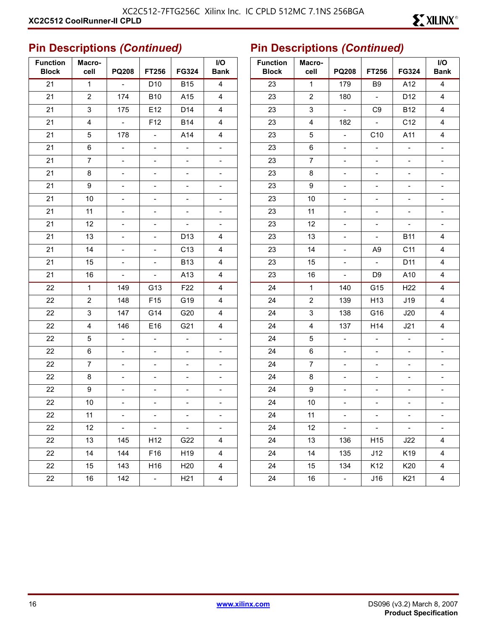| <b>Function</b><br><b>Block</b> | Macro-<br>cell | <b>PQ208</b>              | FT256                    | FG324                    | I/O<br><b>Bank</b>       |
|---------------------------------|----------------|---------------------------|--------------------------|--------------------------|--------------------------|
| 21                              | $\mathbf{1}$   | $\blacksquare$            | D <sub>10</sub>          | <b>B15</b>               | $\overline{\mathbf{4}}$  |
| 21                              | 2              | 174                       | <b>B10</b>               | A15                      | 4                        |
| 21                              | 3              | 175                       | E12                      | D14                      | 4                        |
| 21                              | 4              | $\equiv$                  | F12                      | <b>B14</b>               | 4                        |
| 21                              | 5              | 178                       | $\overline{\phantom{a}}$ | A14                      | 4                        |
| 21                              | 6              | $\overline{\phantom{0}}$  | $\overline{a}$           | $\overline{a}$           | $\overline{\phantom{0}}$ |
| 21                              | $\overline{7}$ | $\overline{\phantom{0}}$  | $\overline{\phantom{0}}$ | $\overline{a}$           | $\overline{\phantom{0}}$ |
| 21                              | 8              | $\overline{\phantom{0}}$  |                          |                          |                          |
| 21                              | 9              | $\overline{\phantom{0}}$  | $\overline{\phantom{0}}$ |                          | $\overline{\phantom{0}}$ |
| 21                              | 10             | -                         |                          |                          | -                        |
| 21                              | 11             |                           |                          |                          | -                        |
| 21                              | 12             | $\overline{\phantom{0}}$  | $\overline{\phantom{0}}$ |                          | $\overline{\phantom{0}}$ |
| 21                              | 13             | -                         |                          | D13                      | 4                        |
| 21                              | 14             | -                         |                          | C <sub>13</sub>          | 4                        |
| 21                              | 15             | $\overline{\phantom{0}}$  |                          | <b>B13</b>               | 4                        |
| 21                              | 16             | $\blacksquare$            | $\overline{\phantom{0}}$ | A13                      | 4                        |
| 22                              | $\mathbf{1}$   | 149                       | G13                      | F <sub>22</sub>          | 4                        |
| 22                              | 2              | 148                       | F <sub>15</sub>          | G19                      | 4                        |
| 22                              | 3              | 147                       | G14                      | G20                      | 4                        |
| 22                              | 4              | 146                       | E16                      | G21                      | $\overline{4}$           |
| 22                              | 5              | $\overline{\phantom{0}}$  |                          | $\overline{a}$           | $\overline{\phantom{0}}$ |
| 22                              | 6              | $\overline{\phantom{0}}$  |                          | $\overline{\phantom{0}}$ | $\overline{\phantom{0}}$ |
| 22                              | 7              | $\overline{\phantom{0}}$  | -                        |                          |                          |
| 22                              | 8              | $\overline{\phantom{0}}$  | $\overline{\phantom{0}}$ | $\overline{a}$           | -                        |
| 22                              | 9              | -                         |                          |                          |                          |
| 22                              | 10             |                           |                          |                          |                          |
| 22                              | 11             |                           |                          |                          |                          |
| 22                              | 12             | $\mathbb{Z}^{\mathbb{Z}}$ | $\frac{1}{2}$            | $\overline{a}$           | $\overline{\phantom{0}}$ |
| 22                              | 13             | 145                       | H12                      | G22                      | 4                        |
| 22                              | 14             | 144                       | F16                      | H19                      | 4                        |
| 22                              | 15             | 143                       | H16                      | H <sub>20</sub>          | $\overline{\mathbf{4}}$  |
| 22                              | 16             | 142                       | $\overline{\phantom{0}}$ | H <sub>21</sub>          | 4                        |

| <b>Function</b><br><b>Block</b> | Macro-<br>cell | <b>PQ208</b>             | FT256                     | FG324                    | I/O<br><b>Bank</b>       |
|---------------------------------|----------------|--------------------------|---------------------------|--------------------------|--------------------------|
| 23                              | $\mathbf{1}$   | 179                      | B <sub>9</sub>            | A12                      | $\overline{\mathbf{4}}$  |
| 23                              | 2              | 180                      | $\blacksquare$            | D12                      | 4                        |
| 23                              | 3              | $\omega$                 | C <sub>9</sub>            | <b>B12</b>               | 4                        |
| 23                              | $\overline{4}$ | 182                      |                           | C12                      | 4                        |
| 23                              | 5              | $\overline{\phantom{0}}$ | C10                       | A11                      | 4                        |
| 23                              | 6              | $\qquad \qquad -$        | $\Box$                    | $\overline{a}$           | $\overline{a}$           |
| 23                              | 7              | -                        | -                         | -                        | -                        |
| 23                              | 8              | -                        | $\overline{\phantom{0}}$  | -                        | -                        |
| 23                              | 9              | $\overline{\phantom{0}}$ | -                         | -                        | $\overline{a}$           |
| 23                              | 10             | -                        | -                         |                          | -                        |
| 23                              | 11             | -                        | $\overline{\phantom{a}}$  | -                        | $\overline{a}$           |
| 23                              | 12             | $\overline{\phantom{0}}$ | $\overline{\phantom{0}}$  | $\overline{\phantom{a}}$ | $\overline{\phantom{0}}$ |
| 23                              | 13             |                          | $\overline{\phantom{0}}$  | <b>B11</b>               | 4                        |
| 23                              | 14             | -                        | A9                        | C11                      | 4                        |
| 23                              | 15             | $\qquad \qquad -$        | $\mathbb{L}^{\mathbb{N}}$ | D11                      | 4                        |
| 23                              | 16             | $\blacksquare$           | D9                        | A10                      | 4                        |
| 24                              | 1              | 140                      | G15                       | H <sub>22</sub>          | 4                        |
| 24                              | 2              | 139                      | H13                       | J19                      | 4                        |
| 24                              | 3              | 138                      | G16                       | J20                      | 4                        |
| 24                              | 4              | 137                      | H14                       | J21                      | 4                        |
| 24                              | 5              | $\blacksquare$           | $\overline{\phantom{a}}$  | $\overline{a}$           | $\overline{a}$           |
| 24                              | 6              | -                        | -                         | $\overline{\phantom{0}}$ | -                        |
| 24                              | 7              | $\overline{\phantom{0}}$ | $\overline{\phantom{0}}$  | -                        | -                        |
| 24                              | 8              | -                        | $\overline{\phantom{0}}$  | $\qquad \qquad -$        | -                        |
| 24                              | 9              | -                        | -                         | -                        | -                        |
| 24                              | 10             | -                        | $\overline{\phantom{a}}$  | -                        | -                        |
| 24                              | 11             |                          |                           |                          |                          |
| 24                              | 12             |                          |                           |                          |                          |
| 24                              | 13             | 136                      | H15                       | J22                      | 4                        |
| 24                              | 14             | 135                      | J12                       | K19                      | 4                        |
| 24                              | 15             | 134                      | K12                       | K20                      | 4                        |
| 24                              | 16             | ÷                        | J16                       | K21                      | 4                        |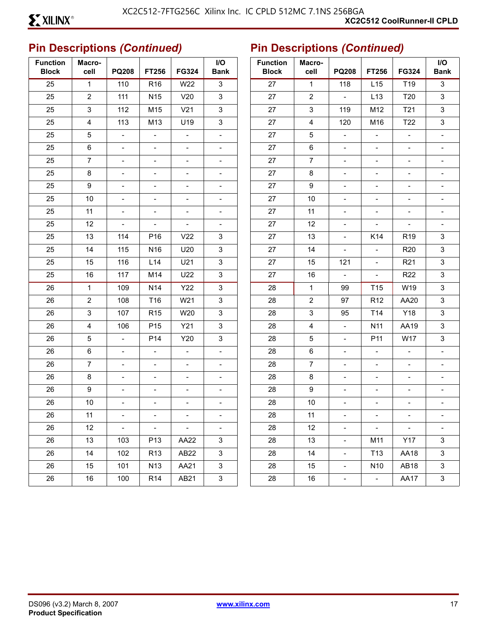| <b>Function</b><br><b>Block</b> | Macro-<br>cell          | <b>PQ208</b>             | FT256                    | <b>FG324</b>             | I/O<br><b>Bank</b>           | <b>Function</b><br><b>Block</b> | Macro-<br>cell            | <b>PQ208</b>                | FT256                    | <b>FG324</b>             | $\mathsf{I}/\mathsf{O}$<br><b>Bank</b> |
|---------------------------------|-------------------------|--------------------------|--------------------------|--------------------------|------------------------------|---------------------------------|---------------------------|-----------------------------|--------------------------|--------------------------|----------------------------------------|
| 25                              | $\mathbf{1}$            | 110                      | R <sub>16</sub>          | W22                      | $\mathbf{3}$                 | 27                              | $\mathbf{1}$              | 118                         | L15                      | T <sub>19</sub>          | $\mathsf 3$                            |
| 25                              | $\overline{2}$          | 111                      | N <sub>15</sub>          | V20                      | $\mathbf{3}$                 | 27                              | $\sqrt{2}$                | $\blacksquare$              | L <sub>13</sub>          | T20                      | $\ensuremath{\mathsf{3}}$              |
| 25                              | $\mathbf{3}$            | 112                      | M15                      | V <sub>21</sub>          | $\mathfrak{S}$               | 27                              | 3                         | 119                         | M12                      | T21                      | $\mathfrak{S}$                         |
| 25                              | $\overline{\mathbf{4}}$ | 113                      | M13                      | U19                      | $\mathsf 3$                  | $27\,$                          | $\overline{\mathbf{4}}$   | 120                         | M16                      | T22                      | $\ensuremath{\mathsf{3}}$              |
| 25                              | 5                       | $\sim$                   | $\overline{\phantom{a}}$ | $\overline{\phantom{a}}$ | $\blacksquare$               | 27                              | $\sqrt{5}$                | $\blacksquare$              | $\overline{\phantom{a}}$ | $\overline{\phantom{a}}$ | $\qquad \qquad \blacksquare$           |
| 25                              | $\,6\,$                 | $\overline{\phantom{a}}$ | $\overline{\phantom{a}}$ | $\overline{\phantom{a}}$ | $\overline{\phantom{a}}$     | 27                              | $\,6\,$                   | $\overline{\phantom{a}}$    | $\overline{\phantom{a}}$ | $\overline{\phantom{a}}$ |                                        |
| 25                              | $\overline{7}$          | $\blacksquare$           | $\overline{\phantom{a}}$ | $\overline{\phantom{a}}$ | $\overline{\phantom{a}}$     | $27\,$                          | $\overline{7}$            | $\overline{\phantom{a}}$    | $\overline{\phantom{a}}$ | $\overline{\phantom{a}}$ | $\blacksquare$                         |
| 25                              | 8                       | $\overline{\phantom{a}}$ | $\overline{\phantom{a}}$ | $\overline{\phantom{a}}$ | $\overline{\phantom{a}}$     | 27                              | 8                         | $\overline{\phantom{a}}$    | $\overline{\phantom{a}}$ | $\overline{\phantom{a}}$ |                                        |
| 25                              | 9                       | $\blacksquare$           | $\overline{\phantom{0}}$ | $\blacksquare$           | $\blacksquare$               | 27                              | $\boldsymbol{9}$          | $\blacksquare$              | $\blacksquare$           | $\blacksquare$           | ÷.                                     |
| 25                              | 10                      | $\blacksquare$           | $\overline{\phantom{a}}$ | $\blacksquare$           | $\overline{\phantom{a}}$     | $27\,$                          | 10                        | $\overline{\phantom{a}}$    | $\overline{\phantom{a}}$ | $\overline{\phantom{a}}$ | $\qquad \qquad \blacksquare$           |
| 25                              | 11                      | $\overline{\phantom{a}}$ | $\overline{\phantom{a}}$ | $\overline{\phantom{a}}$ | $\overline{\phantom{a}}$     | 27                              | 11                        | $\overline{\phantom{a}}$    | $\overline{\phantom{a}}$ | $\overline{\phantom{a}}$ |                                        |
| 25                              | 12                      | $\overline{\phantom{a}}$ | $\overline{\phantom{a}}$ | $\overline{\phantom{a}}$ | $\overline{\phantom{a}}$     | 27                              | 12                        | $\overline{\phantom{a}}$    | $\overline{\phantom{a}}$ | $\blacksquare$           | $\overline{a}$                         |
| 25                              | 13                      | 114                      | P <sub>16</sub>          | V <sub>22</sub>          | $\mathsf 3$                  | 27                              | 13                        | $\overline{\phantom{a}}$    | K14                      | R <sub>19</sub>          | $\ensuremath{\mathsf{3}}$              |
| 25                              | 14                      | 115                      | N <sub>16</sub>          | U20                      | $\mathbf{3}$                 | 27                              | 14                        | $\overline{\phantom{a}}$    | $\overline{\phantom{a}}$ | <b>R20</b>               | $\ensuremath{\mathsf{3}}$              |
| 25                              | 15                      | 116                      | L14                      | U21                      | $\mathfrak{S}$               | 27                              | 15                        | 121                         | $\overline{\phantom{a}}$ | R <sub>21</sub>          | $\mathfrak{S}$                         |
| 25                              | 16                      | 117                      | M14                      | U22                      | $\mathsf 3$                  | 27                              | 16                        | $\blacksquare$              | $\overline{\phantom{a}}$ | <b>R22</b>               | $\mathsf 3$                            |
| 26                              | $\mathbf{1}$            | 109                      | N <sub>14</sub>          | <b>Y22</b>               | $\mathfrak{S}$               | 28                              | $\mathbf 1$               | 99                          | T <sub>15</sub>          | W19                      | $\mathsf 3$                            |
| 26                              | $\overline{2}$          | 108                      | T16                      | W21                      | $\mathfrak{S}$               | 28                              | $\overline{2}$            | 97                          | R <sub>12</sub>          | AA20                     | $\mathfrak{S}$                         |
| 26                              | $\mathbf{3}$            | 107                      | R <sub>15</sub>          | W20                      | $\mathfrak{S}$               | 28                              | $\ensuremath{\mathsf{3}}$ | 95                          | T14                      | Y18                      | $\mathsf 3$                            |
| 26                              | $\overline{4}$          | 106                      | P <sub>15</sub>          | Y21                      | $\mathbf{3}$                 | 28                              | $\overline{\mathbf{4}}$   | $\blacksquare$              | N <sub>11</sub>          | AA19                     | $\ensuremath{\mathsf{3}}$              |
| 26                              | $5\phantom{.0}$         | $\blacksquare$           | P <sub>14</sub>          | Y20                      | $\mathfrak{S}$               | 28                              | 5                         | $\blacksquare$              | P11                      | <b>W17</b>               | $\mathsf 3$                            |
| 26                              | $\,6\,$                 | $\overline{\phantom{a}}$ | $\overline{\phantom{a}}$ | $\equiv$                 | $\overline{\phantom{a}}$     | 28                              | $\,6\,$                   | $\overline{\phantom{a}}$    | $\overline{\phantom{a}}$ | $\overline{\phantom{a}}$ | $\frac{1}{2}$                          |
| 26                              | $\overline{7}$          | $\overline{\phantom{a}}$ | $\qquad \qquad -$        | $\overline{\phantom{a}}$ | $\overline{\phantom{a}}$     | 28                              | $\overline{7}$            | $\overline{\phantom{a}}$    | $\overline{\phantom{a}}$ | $\overline{\phantom{a}}$ | -                                      |
| 26                              | 8                       | $\blacksquare$           | $\blacksquare$           | $\blacksquare$           | $\blacksquare$               | 28                              | 8                         | $\blacksquare$              | $\blacksquare$           | $\blacksquare$           | $\overline{a}$                         |
| 26                              | 9                       | $\overline{\phantom{a}}$ | $\overline{\phantom{a}}$ | $\blacksquare$           | $\qquad \qquad \blacksquare$ | 28                              | $\boldsymbol{9}$          | $\overline{\phantom{a}}$    | $\overline{\phantom{a}}$ | $\overline{\phantom{a}}$ | $\overline{a}$                         |
| 26                              | 10                      | $\overline{\phantom{a}}$ | $\overline{\phantom{a}}$ | $\overline{\phantom{a}}$ | $\overline{\phantom{a}}$     | 28                              | 10                        | $\overline{\phantom{a}}$    | $\overline{\phantom{a}}$ | $\overline{\phantom{a}}$ |                                        |
| 26                              | 11                      |                          |                          |                          |                              | 28                              | 11                        |                             |                          |                          |                                        |
| 26                              | 12                      | $\sim$                   | $\sim$                   | $\pm$ .                  | $\blacksquare$               | 28                              | 12                        | $\mathcal{L}_{\mathcal{A}}$ | $\sim$                   | $\sim$                   | $\blacksquare$                         |
| 26                              | 13                      | 103                      | P <sub>13</sub>          | AA22                     | 3                            | 28                              | 13                        | $\blacksquare$              | M11                      | Y17                      | 3                                      |
| 26                              | 14                      | 102                      | R <sub>13</sub>          | AB <sub>22</sub>         | $\mathbf{3}$                 | 28                              | 14                        | $\mathbb{Z}^{\mathbb{Z}}$   | T <sub>13</sub>          | AA18                     | $\mathbf{3}$                           |
| 26                              | 15                      | 101                      | N <sub>13</sub>          | AA21                     | 3                            | 28                              | 15                        | $\omega_{\rm c}$            | N <sub>10</sub>          | AB <sub>18</sub>         | $\mathbf{3}$                           |
| 26                              | 16                      | 100                      | <b>R14</b>               | AB21                     | $\mathbf{3}$                 | 28                              | 16                        | $\equiv$                    | $\sim$                   | AA17                     | $\mathbf{3}$                           |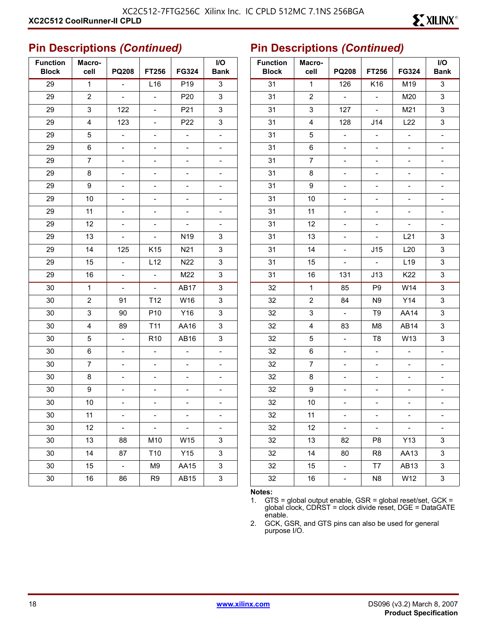| <b>Function</b><br><b>Block</b> | Macro-<br>cell | <b>PQ208</b>             | <b>FT256</b>             | FG324                    | I/O<br><b>Bank</b>           |
|---------------------------------|----------------|--------------------------|--------------------------|--------------------------|------------------------------|
| 29                              | $\mathbf{1}$   | $\blacksquare$           | L16                      | P19                      | 3                            |
| 29                              | 2              | $\blacksquare$           | $\overline{a}$           | P <sub>20</sub>          | 3                            |
| 29                              | 3              | 122                      | -                        | P21                      | 3                            |
| 29                              | 4              | 123                      | -                        | P22                      | 3                            |
| 29                              | 5              | $\overline{\phantom{0}}$ | $\overline{\phantom{0}}$ | $\overline{\phantom{a}}$ | $\overline{\phantom{0}}$     |
| 29                              | 6              | -                        |                          |                          | $\overline{a}$               |
| 29                              | 7              | $\overline{\phantom{0}}$ | -                        | $\overline{\phantom{0}}$ | $\qquad \qquad \blacksquare$ |
| 29                              | 8              | $\overline{\phantom{0}}$ | $\overline{\phantom{0}}$ | $\overline{\phantom{0}}$ | $\overline{\phantom{0}}$     |
| 29                              | 9              | -                        |                          |                          | -                            |
| 29                              | 10             | $\overline{\phantom{0}}$ | -                        | -                        | $\overline{\phantom{0}}$     |
| 29                              | 11             | $\overline{\phantom{0}}$ | $\overline{\phantom{0}}$ | $\overline{\phantom{0}}$ | $\overline{\phantom{0}}$     |
| 29                              | 12             | -                        | -                        |                          | $\overline{\phantom{a}}$     |
| 29                              | 13             | $\overline{\phantom{0}}$ | $\overline{\phantom{a}}$ | N19                      | 3                            |
| 29                              | 14             | 125                      | K15                      | N <sub>21</sub>          | 3                            |
| 29                              | 15             | $\overline{a}$           | L12                      | N22                      | 3                            |
| 29                              | 16             | $\blacksquare$           | $\Box$                   | M22                      | 3                            |
| 30                              | $\mathbf{1}$   | L,                       | $\overline{a}$           | <b>AB17</b>              | 3                            |
| 30                              | $\overline{2}$ | 91                       | T <sub>12</sub>          | W16                      | 3                            |
| 30                              | 3              | 90                       | P <sub>10</sub>          | Y16                      | 3                            |
| 30                              | 4              | 89                       | T <sub>11</sub>          | AA16                     | 3                            |
| 30                              | 5              | $\overline{a}$           | R <sub>10</sub>          | AB16                     | 3                            |
| 30                              | 6              | Ξ.                       | $\qquad \qquad -$        | $\blacksquare$           | $\blacksquare$               |
| 30                              | 7              | $\overline{\phantom{0}}$ | $\overline{\phantom{0}}$ | $\overline{\phantom{0}}$ | $\overline{\phantom{0}}$     |
| 30                              | 8              | -                        | -                        |                          | -                            |
| 30                              | 9              | -                        | -                        | -                        | -                            |
| 30                              | 10             | $\overline{\phantom{0}}$ | $\frac{1}{2}$            | $\overline{\phantom{0}}$ | $\blacksquare$               |
| 30                              | 11             |                          |                          |                          |                              |
| 30                              | 12             | $\overline{\phantom{0}}$ | $\Box$                   | $\overline{\phantom{0}}$ | $\qquad \qquad \blacksquare$ |
| 30                              | 13             | 88                       | M10                      | W15                      | 3                            |
| 30                              | 14             | 87                       | T10                      | Y15                      | 3                            |
| 30                              | 15             | $\omega$                 | M9                       | AA15                     | 3                            |
| 30                              | 16             | 86                       | R <sub>9</sub>           | AB15                     | 3                            |

#### **Pin Descriptions** *(Continued)*

| <b>Function</b><br><b>Block</b> | Macro-<br>cell | <b>PQ208</b>             | FT256                    | FG324                    | I/O<br><b>Bank</b>       |
|---------------------------------|----------------|--------------------------|--------------------------|--------------------------|--------------------------|
| 31                              | $\overline{1}$ | 126                      | K16                      | M19                      | 3                        |
| 31                              | 2              | $\frac{1}{2}$            | $\overline{a}$           | M20                      | 3                        |
| 31                              | 3              | 127                      | $\overline{a}$           | M21                      | 3                        |
| 31                              | 4              | 128                      | J14                      | L22                      | 3                        |
| 31                              | 5              | $\overline{\phantom{0}}$ | $\overline{\phantom{0}}$ | $\overline{a}$           | $\overline{a}$           |
| 31                              | 6              |                          | $\overline{\phantom{a}}$ | -                        | -                        |
| 31                              | $\overline{7}$ |                          | $\overline{\phantom{0}}$ | -                        |                          |
| 31                              | 8              | -                        | -                        | -                        |                          |
| 31                              | 9              |                          | -                        | -                        | $\overline{\phantom{0}}$ |
| 31                              | 10             |                          | $\overline{\phantom{0}}$ |                          |                          |
| 31                              | 11             | -                        | -                        | -                        | $\overline{\phantom{0}}$ |
| 31                              | 12             |                          | $\overline{\phantom{0}}$ | -                        | $\overline{\phantom{0}}$ |
| 31                              | 13             |                          | $\overline{\phantom{a}}$ | L21                      | 3                        |
| 31                              | 14             | -                        | J15                      | L20                      | 3                        |
| 31                              | 15             | $\overline{\phantom{0}}$ | $\blacksquare$           | L <sub>19</sub>          | 3                        |
| 31                              | 16             | 131                      | J13                      | K22                      | 3                        |
| 32                              | 1              | 85                       | P <sub>9</sub>           | W14                      | 3                        |
| 32                              | 2              | 84                       | N <sub>9</sub>           | Y14                      | 3                        |
| 32                              | 3              | $\frac{1}{2}$            | T9                       | <b>AA14</b>              | 3                        |
| 32                              | 4              | 83                       | M8                       | AB14                     | 3                        |
| 32                              | 5              | -                        | T8                       | W13                      | 3                        |
| 32                              | 6              | $\overline{a}$           | $\overline{a}$           | $\overline{a}$           | $\overline{\phantom{0}}$ |
| 32                              | 7              | -                        | $\overline{\phantom{0}}$ | $\overline{\phantom{0}}$ | $\overline{\phantom{0}}$ |
| 32                              | 8              |                          | -                        |                          |                          |
| 32                              | 9              | -                        | $\overline{\phantom{0}}$ | -                        |                          |
| 32                              | 10             |                          | -                        | -                        |                          |
| 32                              | 11             |                          | -                        |                          |                          |
| 32                              | 12             |                          |                          |                          |                          |
| 32                              | 13             | 82                       | P8                       | Y13                      | 3                        |
| 32                              | 14             | 80                       | R <sub>8</sub>           | AA13                     | 3                        |
| 32                              | 15             |                          | T7                       | AB13                     | 3                        |
| 32                              | 16             |                          | N <sub>8</sub>           | W12                      | 3                        |

#### **Notes:**

1. GTS = global output enable, GSR = global reset/set, GCK = global clock, CDRST = clock divide reset, DGE = DataGATE enable.

2. GCK, GSR, and GTS pins can also be used for general purpose I/O.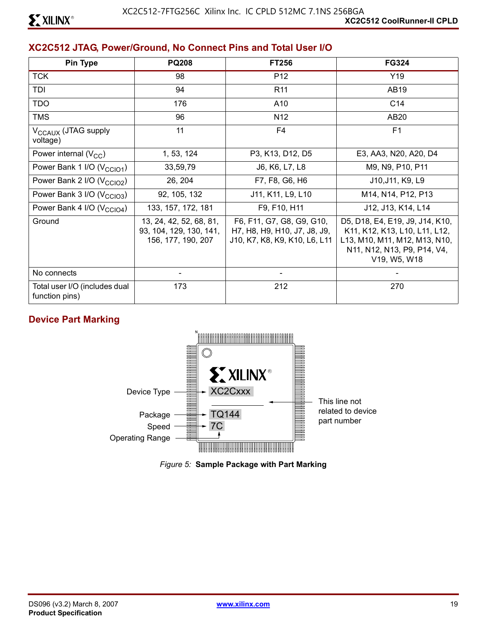#### **XC2C512 JTAG, Power/Ground, No Connect Pins and Total User I/O**

| <b>Pin Type</b>                                 | <b>PQ208</b>                                                             | FT256                                                                                      | <b>FG324</b>                                                                                                                                     |
|-------------------------------------------------|--------------------------------------------------------------------------|--------------------------------------------------------------------------------------------|--------------------------------------------------------------------------------------------------------------------------------------------------|
| <b>TCK</b>                                      | 98                                                                       | P <sub>12</sub>                                                                            | Y19                                                                                                                                              |
| TDI                                             | 94                                                                       | R <sub>11</sub>                                                                            | AB19                                                                                                                                             |
| <b>TDO</b>                                      | 176                                                                      | A10                                                                                        | C <sub>14</sub>                                                                                                                                  |
| <b>TMS</b>                                      | 96                                                                       | N <sub>12</sub>                                                                            | AB20                                                                                                                                             |
| V <sub>CCAUX</sub> (JTAG supply<br>voltage)     | 11                                                                       | F4                                                                                         | F <sub>1</sub>                                                                                                                                   |
| Power internal $(V_{CC})$                       | 1, 53, 124                                                               | P3, K13, D12, D5                                                                           | E3, AA3, N20, A20, D4                                                                                                                            |
| Power Bank 1 I/O (V <sub>CCIO1</sub> )          | 33,59,79                                                                 | J6, K6, L7, L8                                                                             | M9, N9, P10, P11                                                                                                                                 |
| Power Bank 2 I/O (V <sub>CCIO2</sub> )          | 26, 204                                                                  | F7, F8, G6, H6                                                                             | J10, J11, K9, L9                                                                                                                                 |
| Power Bank 3 I/O (V <sub>CCIO3</sub> )          | 92, 105, 132                                                             | J11, K11, L9, L10                                                                          | M14, N14, P12, P13                                                                                                                               |
| Power Bank 4 I/O (V <sub>CCIO4</sub> )          | 133, 157, 172, 181                                                       | F9, F10, H11                                                                               | J12, J13, K14, L14                                                                                                                               |
| Ground                                          | 13, 24, 42, 52, 68, 81,<br>93, 104, 129, 130, 141,<br>156, 177, 190, 207 | F6, F11, G7, G8, G9, G10,<br>H7, H8, H9, H10, J7, J8, J9,<br>J10, K7, K8, K9, K10, L6, L11 | D5, D18, E4, E19, J9, J14, K10,<br>K11, K12, K13, L10, L11, L12,<br>L13, M10, M11, M12, M13, N10,<br>N11, N12, N13, P9, P14, V4,<br>V19, W5, W18 |
| No connects                                     | -                                                                        |                                                                                            |                                                                                                                                                  |
| Total user I/O (includes dual<br>function pins) | 173                                                                      | 212                                                                                        | 270                                                                                                                                              |

#### **Device Part Marking**



*Figure 5:* **Sample Package with Part Marking**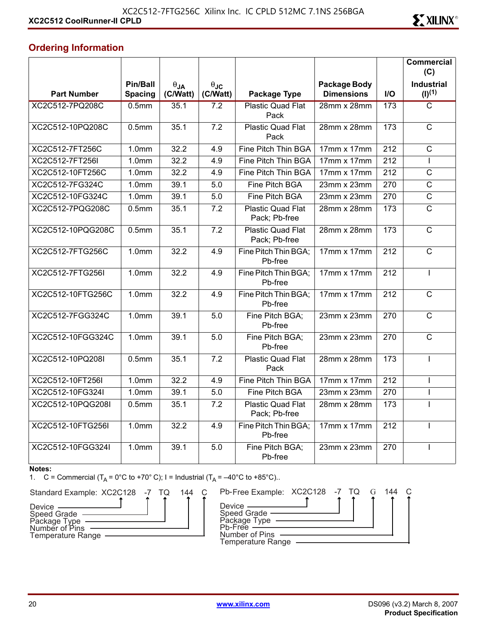#### **Ordering Information**

|                    |                            |                           |                         |                                           |                                          |      | <b>Commercial</b><br>(C)         |
|--------------------|----------------------------|---------------------------|-------------------------|-------------------------------------------|------------------------------------------|------|----------------------------------|
| <b>Part Number</b> | Pin/Ball<br><b>Spacing</b> | $\theta_{JA}$<br>(C/Watt) | $\theta$ JC<br>(C/Watt) | Package Type                              | <b>Package Body</b><br><b>Dimensions</b> | $II$ | <b>Industrial</b><br>$(I)^{(1)}$ |
| XC2C512-7PQ208C    | 0.5 <sub>mm</sub>          | 35.1                      | 7.2                     | <b>Plastic Quad Flat</b><br>Pack          | 28mm x 28mm                              | 173  | $\overline{\text{c}}$            |
| XC2C512-10PQ208C   | 0.5 <sub>mm</sub>          | 35.1                      | $\overline{7.2}$        | <b>Plastic Quad Flat</b><br>Pack          | 28mm x 28mm                              | 173  | $\overline{C}$                   |
| XC2C512-7FT256C    | 1.0 <sub>mm</sub>          | 32.2                      | 4.9                     | Fine Pitch Thin BGA                       | 17mm x 17mm                              | 212  | $\overline{\text{c}}$            |
| XC2C512-7FT256I    | 1.0 <sub>mm</sub>          | 32.2                      | 4.9                     | Fine Pitch Thin BGA                       | 17mm x 17mm                              | 212  | L                                |
| XC2C512-10FT256C   | 1.0 <sub>mm</sub>          | 32.2                      | 4.9                     | Fine Pitch Thin BGA                       | 17mm x 17mm                              | 212  | $\mathsf C$                      |
| XC2C512-7FG324C    | $\overline{1}$ .0mm        | 39.1                      | 5.0                     | Fine Pitch BGA                            | 23mm x 23mm                              | 270  | $\overline{C}$                   |
| XC2C512-10FG324C   | 1.0 <sub>mm</sub>          | 39.1                      | 5.0                     | Fine Pitch BGA                            | $23mm \times 23mm$                       | 270  | $\overline{C}$                   |
| XC2C512-7PQG208C   | 0.5 <sub>mm</sub>          | 35.1                      | 7.2                     | <b>Plastic Quad Flat</b><br>Pack; Pb-free | 28mm x 28mm                              | 173  | $\overline{C}$                   |
| XC2C512-10PQG208C  | 0.5 <sub>mm</sub>          | 35.1                      | 7.2                     | <b>Plastic Quad Flat</b><br>Pack; Pb-free | 28mm x 28mm                              | 173  | $\mathsf{C}$                     |
| XC2C512-7FTG256C   | $\overline{1}$ .0mm        | 32.2                      | 4.9                     | Fine Pitch Thin BGA;<br>Pb-free           | $17mm \times 17mm$                       | 212  | $\mathsf{C}$                     |
| XC2C512-7FTG256I   | 1.0 <sub>mm</sub>          | 32.2                      | 4.9                     | Fine Pitch Thin BGA;<br>Pb-free           | 17mm x 17mm                              | 212  | T                                |
| XC2C512-10FTG256C  | 1.0 <sub>mm</sub>          | 32.2                      | 4.9                     | Fine Pitch Thin BGA;<br>Pb-free           | $17mm \times 17mm$                       | 212  | $\overline{C}$                   |
| XC2C512-7FGG324C   | 1.0 <sub>mm</sub>          | 39.1                      | 5.0                     | Fine Pitch BGA;<br>Pb-free                | 23mm x 23mm                              | 270  | $\overline{C}$                   |
| XC2C512-10FGG324C  | 1.0 <sub>mm</sub>          | 39.1                      | 5.0                     | Fine Pitch BGA:<br>Pb-free                | 23mm x 23mm                              | 270  | $\mathsf{C}$                     |
| XC2C512-10PQ208I   | 0.5 <sub>mm</sub>          | 35.1                      | $\overline{7.2}$        | <b>Plastic Quad Flat</b><br>Pack          | 28mm x 28mm                              | 173  | T                                |
| XC2C512-10FT256I   | 1.0 <sub>mm</sub>          | 32.2                      | 4.9                     | Fine Pitch Thin BGA                       | 17mm x 17mm                              | 212  | T                                |
| XC2C512-10FG324I   | 1.0 <sub>mm</sub>          | 39.1                      | 5.0                     | Fine Pitch BGA                            | $23mm \times 23mm$                       | 270  | $\mathbf{I}$                     |
| XC2C512-10PQG208I  | 0.5 <sub>mm</sub>          | 35.1                      | 7.2                     | <b>Plastic Quad Flat</b><br>Pack; Pb-free | 28mm x 28mm                              | 173  |                                  |
| XC2C512-10FTG256I  | $\overline{1}$ .0mm        | 32.2                      | 4.9                     | Fine Pitch Thin BGA;<br>Pb-free           | 17mm x 17mm                              | 212  |                                  |
| XC2C512-10FGG324I  | 1.0 <sub>mm</sub>          | 39.1                      | 5.0                     | Fine Pitch BGA:<br>Pb-free                | 23mm x 23mm                              | 270  |                                  |

#### **Notes:**

1. C = Commercial  $(T_A = 0^{\circ}C \text{ to } +70^{\circ} C)$ ; I = Industrial  $(T_A = -40^{\circ}C \text{ to } +85^{\circ}C)$ .



|  | 144 | Pb-Free Example: XC2C128 -7 TQ                                                                             |  |  | 144 |  |
|--|-----|------------------------------------------------------------------------------------------------------------|--|--|-----|--|
|  |     | Device $\_\_$<br>Speed Grade ——<br>Package Type —<br>Pb-Free<br>Number of Pins<br><b>Temperature Range</b> |  |  |     |  |
|  |     |                                                                                                            |  |  |     |  |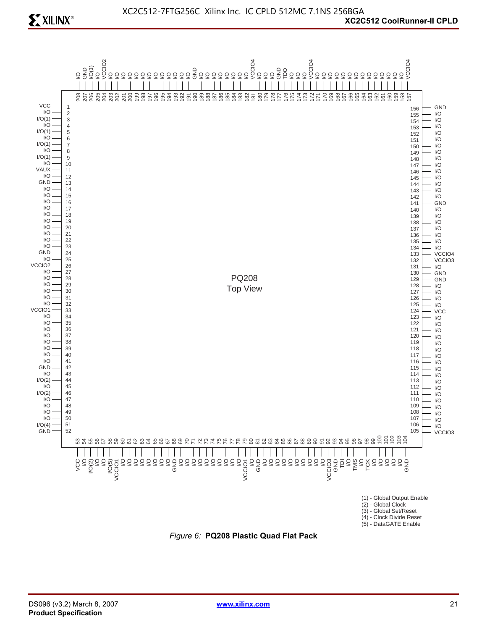

*Figure 6:* **PQ208 Plastic Quad Flat Pack**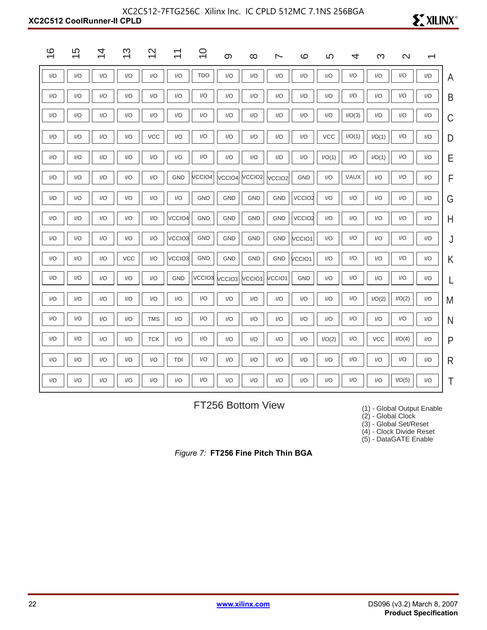#### **XC2C512 CoolRunner-II CPLD** XC2C512-7FTG256C Xilinx Inc. IC CPLD 512MC 7.1NS 256BGA

| $\circ$<br>$\overline{\phantom{0}}$ | 5<br>$\overline{\phantom{0}}$ | 4<br>$\overline{\phantom{0}}$ | ო<br>$\overline{\phantom{0}}$ | $\mathsf{N}$<br>$\overline{\phantom{0}}$ | ᠇<br>$\overline{\phantom{0}}$ | $\circ$<br>$\overline{\phantom{0}}$ | $\infty$           | ∞                  | ∼                  | $\circ$                 | 5          | 4      | ო          | $\mathbf{\Omega}$ | $\overline{\phantom{0}}$ |              |
|-------------------------------------|-------------------------------|-------------------------------|-------------------------------|------------------------------------------|-------------------------------|-------------------------------------|--------------------|--------------------|--------------------|-------------------------|------------|--------|------------|-------------------|--------------------------|--------------|
| I/O                                 | I/O                           | I/O                           | I/O                           | I/O                                      | I/O                           | <b>TDO</b>                          | I/O                | I/O                | I/O                | $\mathsf{I}/\mathsf{O}$ | I/O        | I/O    | I/O        | I/O               | I/O                      | A            |
| I/O                                 | I/O                           | I/O                           | I/O                           | I/O                                      | I/O                           | I/O                                 | I/O                | I/O                | I/O                | I/O                     | I/O        | I/O    | I/O        | I/O               | I/O                      | B            |
| I/O                                 | I/O                           | I/O                           | I/O                           | I/O                                      | I/O                           | I/O                                 | I/O                | I/O                | I/O                | I/O                     | I/O        | I/O(3) | I/O        | I/O               | I/O                      | C            |
| I/O                                 | I/O                           | I/O                           | I/O                           | <b>VCC</b>                               | I/O                           | I/O                                 | I/O                | I/O                | I/O                | I/O                     | <b>VCC</b> | I/O(1) | I/O(1)     | I/O               | I/O                      | D            |
| 1/O                                 | I/O                           | I/O                           | I/O                           | I/O                                      | I/O                           | I/O                                 | I/O                | 1/O                | I/O                | I/O                     | I/O(1)     | I/O    | I/O(1)     | I/O               | I/O                      | E            |
| I/O                                 | I/O                           | I/O                           | I/O                           | 1/O                                      | <b>GND</b>                    | VCCIO <sub>4</sub>                  | VCCIO4             | VCCIO <sub>2</sub> | VCCIO <sub>2</sub> | <b>GND</b>              | I/O        | VAUX   | I/O        | I/O               | I/O                      | F            |
| I/O                                 | I/O                           | I/O                           | I/O                           | I/O                                      | I/O                           | <b>GND</b>                          | <b>GND</b>         | <b>GND</b>         | <b>GND</b>         | VCCIO <sub>2</sub>      | I/O        | I/O    | I/O        | I/O               | I/O                      | G            |
| 1/O                                 | I/O                           | I/O                           | I/O                           | I/O                                      | VCCIO <sub>4</sub>            | GND                                 | <b>GND</b>         | <b>GND</b>         | <b>GND</b>         | VCCIO <sub>2</sub>      | I/O        | I/O    | I/O        | I/O               | I/O                      | Н            |
| I/O                                 | I/O                           | I/O                           | I/O                           | I/O                                      | VCCIO3                        | GND                                 | GND                | <b>GND</b>         | <b>GND</b>         | VCCIO1                  | I/O        | I/O    | I/O        | I/O               | I/O                      | J            |
| I/O                                 | I/O                           | I/O                           | <b>VCC</b>                    | I/O                                      | VCCIO3                        | <b>GND</b>                          | <b>GND</b>         | <b>GND</b>         | GND                | VCCIO1                  | I/O        | I/O    | I/O        | I/O               | I/O                      | Κ            |
| I/O                                 | I/O                           | I/O                           | I/O                           | I/O                                      | GND                           | VCCIO <sub>3</sub>                  | VCCIO <sub>3</sub> | VCCIO1             | VCCIO1             | GND                     | I/O        | I/O    | I/O        | I/O               | I/O                      |              |
| I/O                                 | I/O                           | I/O                           | I/O                           | I/O                                      | I/O                           | I/O                                 | I/O                | I/O                | I/O                | I/O                     | I/O        | I/O    | I/O(2)     | I/O(2)            | I/O                      | M            |
| I/O                                 | I/O                           | I/O                           | I/O                           | <b>TMS</b>                               | I/O                           | I/O                                 | I/O                | I/O                | I/O                | I/O                     | I/O        | I/O    | I/O        | I/O               | I/O                      | N            |
| I/O                                 | I/O                           | I/O                           | I/O                           | <b>TCK</b>                               | I/O                           | I/O                                 | I/O                | I/O                | I/O                | I/O                     | I/O(2)     | I/O    | <b>VCC</b> | I/O(4)            | I/O                      | P            |
| I/O                                 | I/O                           | I/O                           | I/O                           | I/O                                      | TDI                           | I/O                                 | I/O                | I/O                | I/O                | I/O                     | I/O        | I/O    | I/O        | I/O               | I/O                      | $\mathsf{R}$ |
| 1/O                                 | I/O                           | I/O                           | I/O                           | 1/O                                      | I/O                           | I/O                                 | I/O                | I/O                | I/O                | I/O                     | I/O        | I/O    | I/O        | I/O(5)            | I/O                      | T            |

FT256 Bottom View

(1) - Global Output Enable

**EXILINX®** 

(2) - Global Clock

(3) - Global Set/Reset

(4) - Clock Divide Reset

(5) - DataGATE Enable

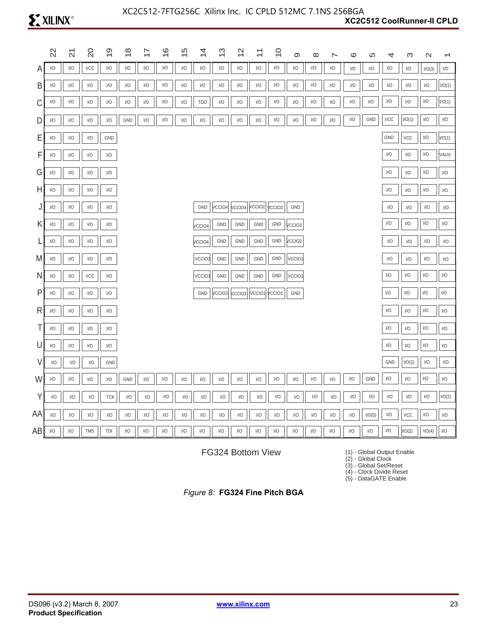|    | $\Omega$                | $\overline{\mathcal{S}}$ | $\overline{c}$                                           | တ                       | $\frac{8}{1}$           | 7                       | ဖ   | ഗ<br>$\overline{\phantom{0}}$ | 4                       | ო   | $\frac{2}{3}$                               | $\stackrel{\textstyle\scriptstyle\smile}{\scriptstyle\cdot}$ | $\overline{C}$          | စာ                      | $\infty$                | ∼                       | ဖ                       | 5                       | 4                                                               | က                                                               | $\mathbf{\Omega}$       |                         |
|----|-------------------------|--------------------------|----------------------------------------------------------|-------------------------|-------------------------|-------------------------|-----|-------------------------------|-------------------------|-----|---------------------------------------------|--------------------------------------------------------------|-------------------------|-------------------------|-------------------------|-------------------------|-------------------------|-------------------------|-----------------------------------------------------------------|-----------------------------------------------------------------|-------------------------|-------------------------|
|    | $\mathsf{I}/\mathsf{O}$ | $\mathsf{I}/\mathsf{O}$  | $\mathsf{VCC}$                                           | I/O                     | $\mathsf{I}/\mathsf{O}$ | $\mathsf{I}/\mathsf{O}$ | I/O | $\mathsf{I}/\mathsf{O}$       | I/O                     | I/O | $\mathsf{I}/\mathsf{O}$                     | I/O                                                          | I/O                     | I/O                     | I/O                     | I/O                     | I/O                     | $\mathsf{I}/\mathsf{O}$ | $\mathsf{I}/\mathsf{O}$                                         | $\mathsf{I}/\mathsf{O}$                                         | I/O(3)                  | $\mathsf{I}/\mathsf{O}$ |
| B  | I/O                     | 1/O                      | I/O                                                      | I/O                     | I/O                     | I/O                     | I/O | I/O                           | I/O                     | I/O | I/O                                         | I/O                                                          | I/O                     | I/O                     | I/O                     | I/O                     | I/O                     | 1/O                     | I/O                                                             | 1/O                                                             | I/O                     | I/O(1)                  |
| С  | I/O                     | 1/O                      | I/O                                                      | I/O                     | I/O                     | I/O                     | I/O | I/O                           | <b>TDO</b>              | I/O | I/O                                         | I/O                                                          | I/O                     | I/O                     | I/O                     | I/O                     | I/O                     | I/O                     | I/O                                                             | $\mathsf{I}/\mathsf{O}$                                         | I/O                     | I/O(1)                  |
| D  | $\mathsf{I}/\mathsf{O}$ | I/O                      | $\ensuremath{\mathsf{I}}\xspace/\ensuremath{\mathsf{O}}$ | I/O                     | GND                     | I/O                     | I/O | I/O                           | I/O                     | I/O | I/O                                         | I/O                                                          | I/O                     | $\mathsf{I}/\mathsf{O}$ | I/O                     | I/O                     | $\mathsf{I}/\mathsf{O}$ | GND                     | VCC                                                             | I/O(1)                                                          | I/O                     | $\mathsf{IO}$           |
| Ε  | I/O                     | $\mathsf{U}\mathsf{O}$   | I/O                                                      | GND                     |                         |                         |     |                               |                         |     |                                             |                                                              |                         |                         |                         |                         |                         |                         | GND                                                             | VCC                                                             | I/O                     | I/O(1)                  |
| F  | I/O                     | $\mathsf{U}/\mathsf{O}$  | $\mathsf{I}/\mathsf{O}$                                  | I/O                     |                         |                         |     |                               |                         |     |                                             |                                                              |                         |                         |                         |                         |                         |                         | I/O                                                             | $\mathsf{I}/\mathsf{O}$                                         | I/O                     | VAUX                    |
| G  | I/O                     | $\mathsf{U}/\mathsf{O}$  | $\mathsf{I}/\mathsf{O}$                                  | I/O                     |                         |                         |     |                               |                         |     |                                             |                                                              |                         |                         |                         |                         |                         |                         | I/O                                                             | $\mathsf{I}/\mathsf{O}$                                         | I/O                     | $\mathsf{IO}$           |
| н  | I/O                     | I/O                      | $\mathsf{I}/\mathsf{O}$                                  | I/O                     |                         |                         |     |                               |                         |     |                                             |                                                              |                         |                         |                         |                         |                         |                         | I/O                                                             | $\mathsf{I}/\mathsf{O}$                                         | I/O                     | I/O                     |
| J  | I/O                     | I/O                      | $\mathsf{I}/\mathsf{O}$                                  | I/O                     |                         |                         |     |                               | GND                     |     | $ VCCIO4 $ $ VCCIO4 $ $ VCCIO2 $ $ VCCIO2 $ |                                                              |                         | GND                     |                         |                         |                         |                         | I/O                                                             | $\mathsf{I}/\mathsf{O}$                                         | I/O                     | 1/O                     |
| Κ  | I/O                     | $\mathsf{I}/\mathsf{O}$  | $\mathsf{I}/\mathsf{O}$                                  | I/O                     |                         |                         |     |                               | <b>VCCIO4</b>           | GND | GND                                         | GND                                                          | GND                     | VCCIO <sub>2</sub>      |                         |                         |                         |                         | I/O                                                             | $\ensuremath{\mathsf{I}}\xspace/\ensuremath{\mathsf{O}}\xspace$ | $\mathsf{I}/\mathsf{O}$ | I/O                     |
|    | I/O                     | I/O                      | $\mathsf{I}/\mathsf{O}$                                  | I/O                     |                         |                         |     |                               | /CCIO4                  | GND | GND                                         | GND                                                          | GND                     | VCCIO2                  |                         |                         |                         |                         | $\mathsf{I}/\mathsf{O}$                                         | $\mathsf{I}/\mathsf{O}$                                         | I/O                     | 1/O                     |
| M  | I/O                     | I/O                      | I/O                                                      | I/O                     |                         |                         |     |                               | VCCIO3                  | GND | GND                                         | GND                                                          | GND                     | VCCIO1                  |                         |                         |                         |                         | I/O                                                             | I/O                                                             | I/O                     | I/O                     |
| N  | I/O                     | $\mathsf{U}/\mathsf{O}$  | VCC                                                      | I/O                     |                         |                         |     |                               | VCCIO3                  | GND | GND                                         | GND                                                          | GND                     | VCCIO1                  |                         |                         |                         |                         | I/O                                                             | I/O                                                             | I/O                     | I/O                     |
| P  | $\mathsf{I}/\mathsf{O}$ | I/O                      | I/O                                                      | I/O                     |                         |                         |     |                               | GND                     |     | $ VCCIO3 $ $ VCCIO3 $ $ VCCIO1 $ $ VCCIO1 $ |                                                              |                         | GND                     |                         |                         |                         |                         | I/O                                                             | I/O                                                             | $\mathsf{I}/\mathsf{O}$ | $\mathsf{I}/\mathsf{O}$ |
| R  | I/O                     | I/O                      | $\mathsf{I}/\mathsf{O}$                                  | I/O                     |                         |                         |     |                               |                         |     |                                             |                                                              |                         |                         |                         |                         |                         |                         | $\mathsf{I}/\mathsf{O}$                                         | $\mathsf{I}/\mathsf{O}$                                         | $\mathsf{I}/\mathsf{O}$ | I/O                     |
| Τ  | I/O                     | $IV$                     | I/O                                                      | I/O                     |                         |                         |     |                               |                         |     |                                             |                                                              |                         |                         |                         |                         |                         |                         | I/O                                                             | $\ensuremath{\mathsf{I}}/\ensuremath{\mathsf{O}}$               | $\mathsf{I}/\mathsf{O}$ | $\mathsf{I}/\mathsf{O}$ |
| U  | I/O                     | I/O                      | $\mathsf{I}/\mathsf{O}$                                  | $\mathsf{I}/\mathsf{O}$ |                         |                         |     |                               |                         |     |                                             |                                                              |                         |                         |                         |                         |                         |                         | I/O                                                             | I/O                                                             | I/O                     | I/O                     |
| V  | 1/O                     | I/O                      | I/O                                                      | GND                     |                         |                         |     |                               |                         |     |                                             |                                                              |                         |                         |                         |                         |                         |                         | GND                                                             | I/O(2)                                                          | I/O                     | I/O                     |
| W  | I/O                     | $\mathsf{I}/\mathsf{O}$  | I/O                                                      | I/O                     | GND                     | I/O                     | I/O | I/O                           | I/O                     | I/O | I/O                                         | I/O                                                          | I/O                     | I/O                     | I/O                     | I/O                     | I/O                     | GND                     | I/O                                                             | $\mathsf{U}\mathsf{O}$                                          | I/O                     | $\mathsf{U}\mathsf{O}$  |
| Υ  | I/O                     | I/O                      | $\mathsf{I}/\mathsf{O}$                                  | <b>TCK</b>              | I/O                     | $\mathsf{I}/\mathsf{O}$ | I/O | I/O                           | $\mathsf{I}/\mathsf{O}$ | I/O | I/O                                         | $\mathsf{I}/\mathsf{O}$                                      | I/O                     | $\mathsf{I}/\mathsf{O}$ | I/O                     | $\mathsf{I}/\mathsf{O}$ | I/O                     | I/O                     | I/O                                                             | $\ensuremath{\mathsf{I}}/\ensuremath{\mathsf{O}}$               | I/O                     | 1/O(2)                  |
| ΑA | I/O                     | I/O                      | I/O                                                      | I/O                     | I/O                     | 1/O                     | I/O | I/O                           | $\mathsf{I}/\mathsf{O}$ | I/O | I/O                                         | I/O                                                          | I/O                     | I/O                     | $\mathsf{I}/\mathsf{O}$ | I/O                     | I/O                     | I/O(5)                  | $\ensuremath{\mathsf{I}}\xspace/\ensuremath{\mathsf{O}}\xspace$ | VCC                                                             | $\mathsf{I}/\mathsf{O}$ | I/O                     |
| AB | I/O                     | $\mathsf{I}/\mathsf{O}$  | TMS                                                      | TDI                     | I/O                     | I/O                     | I/O | I/O                           | $\mathsf{I}/\mathsf{O}$ | I/O | I/O                                         | $\mathsf{I}/\mathsf{O}$                                      | $\mathsf{I}/\mathsf{O}$ | $\mathsf{I}/\mathsf{O}$ | I/O                     | I/O                     | $\mathsf{I}/\mathsf{O}$ | I/O                     | I/O                                                             | I/O(2)                                                          | I/O(4)                  | 1/O                     |

FG324 Bottom View

(1) - Global Output Enable

(2) - Global Clock

(3) - Global Set/Reset

(4) - Clock Divide Reset (5) - DataGATE Enable

*Figure 8:* **FG324 Fine Pitch BGA**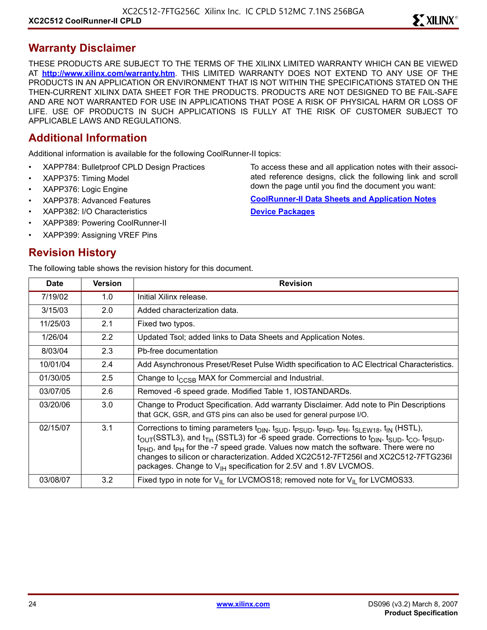#### **Warranty Disclaimer**

THESE PRODUCTS ARE SUBJECT TO THE TERMS OF THE XILINX LIMITED WARRANTY WHICH CAN BE VIEWED AT **<http://www.xilinx.com/warranty.htm>**. THIS LIMITED WARRANTY DOES NOT EXTEND TO ANY USE OF THE PRODUCTS IN AN APPLICATION OR ENVIRONMENT THAT IS NOT WITHIN THE SPECIFICATIONS STATED ON THE THEN-CURRENT XILINX DATA SHEET FOR THE PRODUCTS. PRODUCTS ARE NOT DESIGNED TO BE FAIL-SAFE AND ARE NOT WARRANTED FOR USE IN APPLICATIONS THAT POSE A RISK OF PHYSICAL HARM OR LOSS OF LIFE. USE OF PRODUCTS IN SUCH APPLICATIONS IS FULLY AT THE RISK OF CUSTOMER SUBJECT TO APPLICABLE LAWS AND REGULATIONS.

#### **Additional Information**

Additional information is available for the following CoolRunner-II topics:

- XAPP784: Bulletproof CPLD Design Practices
- XAPP375: Timing Model
- XAPP376: Logic Engine
- XAPP378: Advanced Features
- XAPP382: I/O Characteristics
- XAPP389: Powering CoolRunner-II
- XAPP399: Assigning VREF Pins

#### **Revision History**

The following table shows the revision history for this document.

**Date Version Revision** 7/19/02 1.0 Initial Xilinx release. 3/15/03 2.0 Added characterization data. 11/25/03 2.1 Fixed two typos. 1/26/04 2.2 Updated Tsol; added links to Data Sheets and Application Notes. 8/03/04 2.3 Pb-free documentation 10/01/04 2.4 Add Asynchronous Preset/Reset Pulse Width specification to AC Electrical Characteristics. 01/30/05  $\vert$  2.5  $\vert$  Change to  $I_{\text{CCSB}}$  MAX for Commercial and Industrial. 03/07/05 **2.6** Removed -6 speed grade. Modified Table 1, IOSTANDARDs. 03/20/06 | 3.0 Change to Product Specification. Add warranty Disclaimer. Add note to Pin Descriptions that GCK, GSR, and GTS pins can also be used for general purpose I/O. 02/15/07  $\vert$  3.1 Corrections to timing parameters t<sub>DIN</sub>, t<sub>SUD</sub>, t<sub>PSUD</sub>, t<sub>PHD</sub>, t<sub>PH</sub>, t<sub>SLEW18</sub>, t<sub>IN</sub> (HSTL),  $t_{\text{OUT}}(\text{SSTL3})$ , and  $t_{\text{Tim}}$  (SSTL3) for -6 speed grade. Corrections to  $t_{\text{DIN}}$ ,  $t_{\text{SUD}}$ ,  $t_{\text{CO}}$ ,  $t_{\text{PSUD}}$ , t<sub>PHD</sub>, and t<sub>PH</sub> for the -7 speed grade. Values now match the software. There were no changes to silicon or characterization. Added XC2C512-7FT256I and XC2C512-7FTG236I packages. Change to  $V_{\text{IH}}$  specification for 2.5V and 1.8V LVCMOS. 03/08/07  $\parallel$  3.2 Fixed typo in note for V<sub>IL</sub> for LVCMOS18; removed note for V<sub>IL</sub> for LVCMOS33.

ated reference designs, click the following link and scroll down the page until you find the document you want: **[CoolRunner-II Data Sheets and Application Notes](http://www.xilinx.com/xlnx/xweb/xil_publications_display.jsp?sGlobalNavPick=&sSecondaryNavPick=&category=-19214&iLanguageID=1)**

To access these and all application notes with their associ-

**[Device Packages](http://www.xilinx.com/xlnx/xweb/xil_publications_index.jsp?sGlobalNavPick=&sSecondaryNavPick=&category=-19166&iLanguageID=1)**